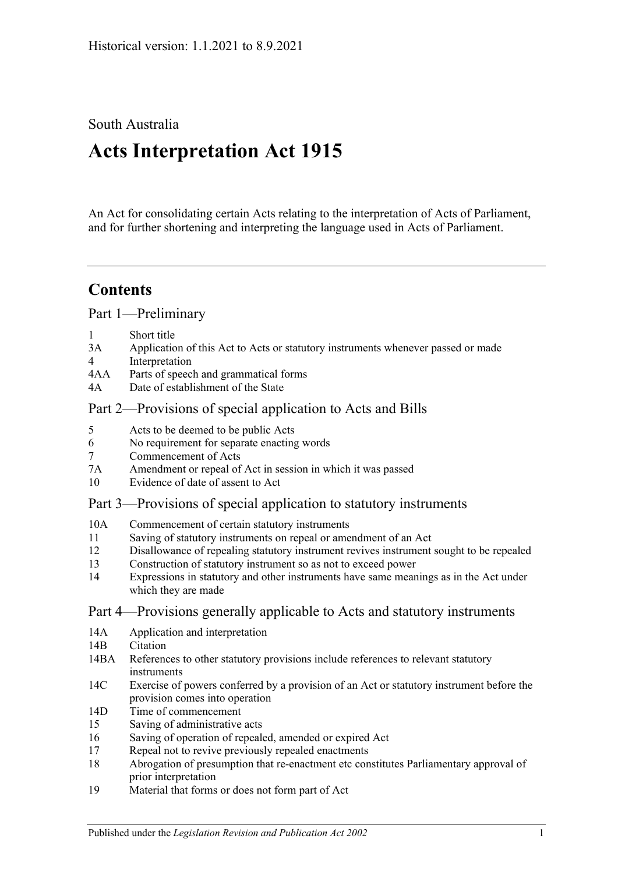# South Australia

# **Acts Interpretation Act 1915**

An Act for consolidating certain Acts relating to the interpretation of Acts of Parliament, and for further shortening and interpreting the language used in Acts of Parliament.

# **Contents**

[Part 1—Preliminary](#page-1-0)

- 1 [Short title](#page-1-1)
- 3A [Application of this Act to Acts or statutory instruments whenever passed or made](#page-1-2)
- 4 [Interpretation](#page-2-0)
- 4AA [Parts of speech and grammatical forms](#page-6-0)
- 4A [Date of establishment of the State](#page-7-0)

# [Part 2—Provisions of special application to Acts and Bills](#page-7-1)

- 5 [Acts to be deemed to be public Acts](#page-7-2)
- 6 [No requirement for separate enacting words](#page-7-3)
- 7 [Commencement of Acts](#page-7-4)
- 7A [Amendment or repeal of Act in session in which it was passed](#page-7-5)
- 10 [Evidence of date of assent to Act](#page-8-0)

# [Part 3—Provisions of special application to statutory instruments](#page-8-1)

- 10A [Commencement of certain statutory instruments](#page-8-2)
- 11 [Saving of statutory instruments on repeal or amendment of an Act](#page-8-3)
- 12 [Disallowance of repealing statutory instrument revives instrument sought to](#page-8-4) be repealed
- 13 [Construction of statutory instrument so as not to exceed power](#page-8-5)
- 14 [Expressions in statutory and other instruments have same meanings as in the Act under](#page-9-0)  [which they are made](#page-9-0)

# [Part 4—Provisions generally applicable to Acts and statutory instruments](#page-9-1)

- 14A [Application and interpretation](#page-9-2)
- 14B [Citation](#page-9-3)
- 14BA [References to other statutory provisions include references to relevant statutory](#page-10-0)  [instruments](#page-10-0)
- 14C [Exercise of powers conferred by a provision of an Act or statutory instrument before the](#page-10-1)  [provision comes into operation](#page-10-1)
- 14D [Time of commencement](#page-10-2)
- 15 [Saving of administrative acts](#page-11-0)
- 16 [Saving of operation of repealed, amended or expired Act](#page-11-1)
- 17 [Repeal not to revive previously repealed enactments](#page-12-0)
- 18 [Abrogation of presumption that re-enactment etc constitutes Parliamentary approval of](#page-12-1)  [prior interpretation](#page-12-1)
- 19 [Material that forms or does not form part of Act](#page-12-2)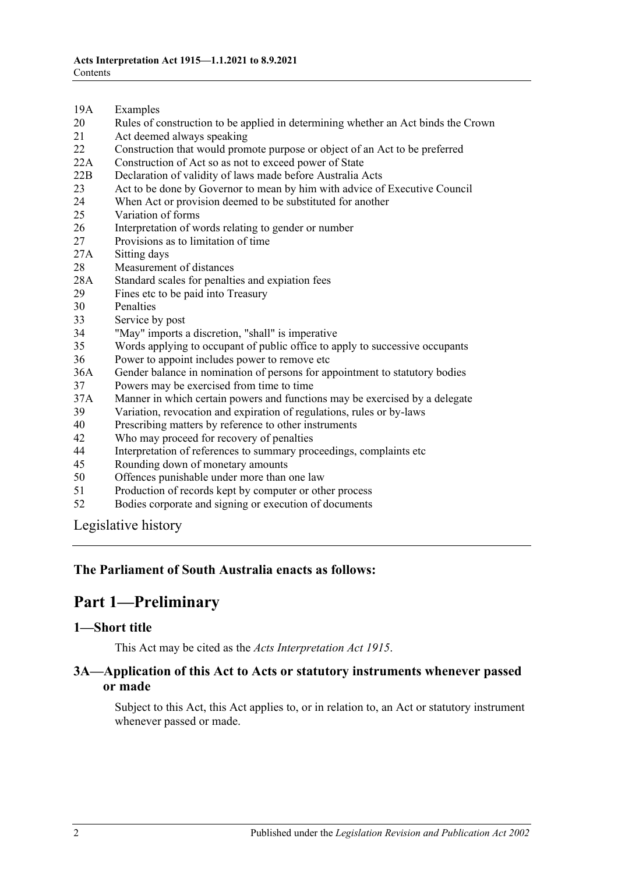- 19A [Examples](#page-12-3)
- 20 [Rules of construction to be applied in determining whether an Act binds the Crown](#page-13-0)
- 21 [Act deemed always speaking](#page-13-1)
- 22 [Construction that would promote purpose or object of an Act to be preferred](#page-13-2)
- 22A [Construction of Act so as not to exceed power of State](#page-13-3)
- 22B [Declaration of validity of laws made before Australia Acts](#page-14-0)
- 23 [Act to be done by Governor to mean by him with advice of Executive Council](#page-14-1)
- 24 [When Act or provision deemed to be substituted for another](#page-14-2)<br>25 Variation of forms
- [Variation of forms](#page-14-3)
- 26 [Interpretation of words relating to gender or number](#page-14-4)
- 27 [Provisions as to limitation of time](#page-15-0)
- 27A [Sitting days](#page-15-1)
- 28 [Measurement of distances](#page-15-2)
- 28A [Standard scales for penalties and expiation fees](#page-15-3)
- 29 [Fines etc to be paid into Treasury](#page-16-0)
- 30 [Penalties](#page-16-1)<br>33 Service b
- [Service by post](#page-16-2)
- 34 ["May" imports a discretion, "shall" is imperative](#page-17-0)
- 35 [Words applying to occupant of public office to apply to successive occupants](#page-17-1)
- 36 [Power to appoint includes power to remove etc](#page-17-2)
- 36A [Gender balance in nomination of persons for appointment to statutory bodies](#page-17-3)
- 37 [Powers may be exercised from time to time](#page-18-0)
- 37A [Manner in which certain powers and functions may be exercised by a delegate](#page-18-1)
- 39 [Variation, revocation and expiration of regulations, rules or by-laws](#page-18-2)
- 40 [Prescribing matters by reference to other instruments](#page-19-0)
- 42 [Who may proceed for recovery of penalties](#page-19-1)
- 44 [Interpretation of references to summary proceedings, complaints](#page-19-2) etc
- 45 [Rounding down of monetary amounts](#page-20-0)
- 50 [Offences punishable under more than one law](#page-20-1)
- 51 [Production of records kept by computer or other process](#page-20-2)
- 52 [Bodies corporate and signing or execution of documents](#page-20-3)

[Legislative history](#page-21-0)

#### <span id="page-1-0"></span>**The Parliament of South Australia enacts as follows:**

# **Part 1—Preliminary**

#### <span id="page-1-1"></span>**1—Short title**

This Act may be cited as the *Acts Interpretation Act 1915*.

#### <span id="page-1-2"></span>**3A—Application of this Act to Acts or statutory instruments whenever passed or made**

Subject to this Act, this Act applies to, or in relation to, an Act or statutory instrument whenever passed or made.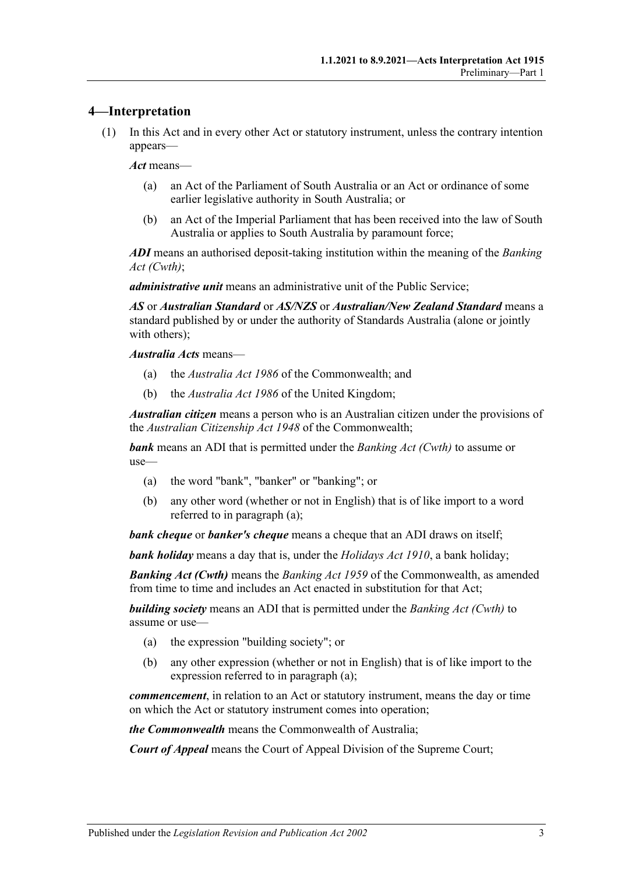#### <span id="page-2-0"></span>**4—Interpretation**

(1) In this Act and in every other Act or statutory instrument, unless the contrary intention appears—

*Act* means—

- (a) an Act of the Parliament of South Australia or an Act or ordinance of some earlier legislative authority in South Australia; or
- (b) an Act of the Imperial Parliament that has been received into the law of South Australia or applies to South Australia by paramount force;

*ADI* means an authorised deposit-taking institution within the meaning of the *Banking Act (Cwth)*;

*administrative unit* means an administrative unit of the Public Service;

*AS* or *Australian Standard* or *AS/NZS* or *Australian/New Zealand Standard* means a standard published by or under the authority of Standards Australia (alone or jointly with others);

*Australia Acts* means—

- (a) the *Australia Act 1986* of the Commonwealth; and
- (b) the *Australia Act 1986* of the United Kingdom;

*Australian citizen* means a person who is an Australian citizen under the provisions of the *Australian Citizenship Act 1948* of the Commonwealth;

<span id="page-2-1"></span>*bank* means an ADI that is permitted under the *Banking Act (Cwth)* to assume or use—

- (a) the word "bank", "banker" or "banking"; or
- (b) any other word (whether or not in English) that is of like import to a word referred to in [paragraph](#page-2-1) (a);

*bank cheque* or *banker's cheque* means a cheque that an ADI draws on itself;

*bank holiday* means a day that is, under the *[Holidays Act](http://www.legislation.sa.gov.au/index.aspx?action=legref&type=act&legtitle=Holidays%20Act%201910) 1910*, a bank holiday;

*Banking Act (Cwth)* means the *Banking Act 1959* of the Commonwealth, as amended from time to time and includes an Act enacted in substitution for that Act;

<span id="page-2-2"></span>*building society* means an ADI that is permitted under the *Banking Act (Cwth)* to assume or use—

- (a) the expression "building society"; or
- (b) any other expression (whether or not in English) that is of like import to the expression referred to in [paragraph](#page-2-2) (a);

*commencement*, in relation to an Act or statutory instrument, means the day or time on which the Act or statutory instrument comes into operation;

*the Commonwealth* means the Commonwealth of Australia;

*Court of Appeal* means the Court of Appeal Division of the Supreme Court;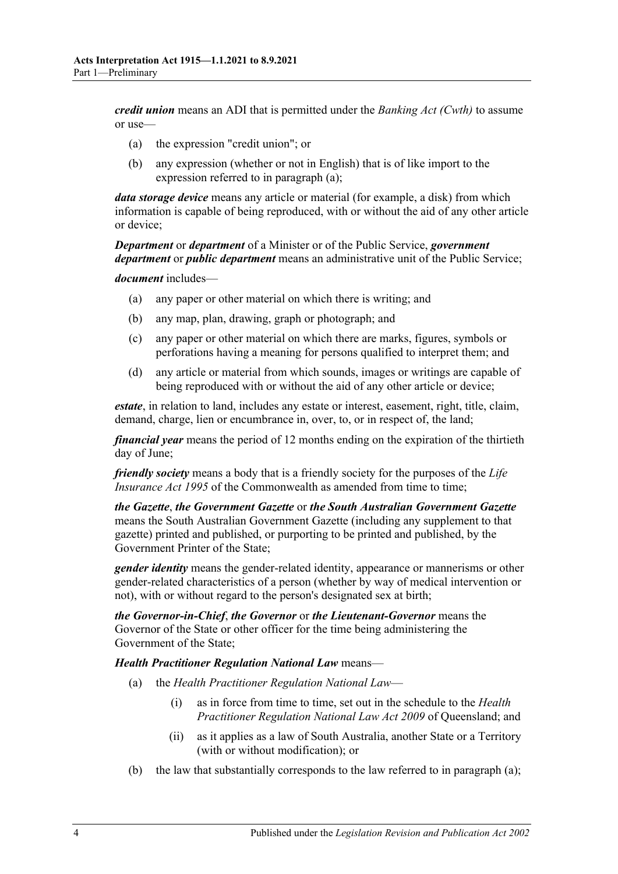<span id="page-3-0"></span>*credit union* means an ADI that is permitted under the *Banking Act (Cwth)* to assume or use—

- (a) the expression "credit union"; or
- (b) any expression (whether or not in English) that is of like import to the expression referred to in [paragraph](#page-3-0) (a);

*data storage device* means any article or material (for example, a disk) from which information is capable of being reproduced, with or without the aid of any other article or device;

*Department* or *department* of a Minister or of the Public Service, *government department* or *public department* means an administrative unit of the Public Service;

*document* includes—

- (a) any paper or other material on which there is writing; and
- (b) any map, plan, drawing, graph or photograph; and
- (c) any paper or other material on which there are marks, figures, symbols or perforations having a meaning for persons qualified to interpret them; and
- (d) any article or material from which sounds, images or writings are capable of being reproduced with or without the aid of any other article or device;

*estate*, in relation to land, includes any estate or interest, easement, right, title, claim, demand, charge, lien or encumbrance in, over, to, or in respect of, the land;

*financial year* means the period of 12 months ending on the expiration of the thirtieth day of June;

*friendly society* means a body that is a friendly society for the purposes of the *Life Insurance Act 1995* of the Commonwealth as amended from time to time;

*the Gazette*, *the Government Gazette* or *the South Australian Government Gazette* means the South Australian Government Gazette (including any supplement to that gazette) printed and published, or purporting to be printed and published, by the Government Printer of the State;

*gender identity* means the gender-related identity, appearance or mannerisms or other gender-related characteristics of a person (whether by way of medical intervention or not), with or without regard to the person's designated sex at birth;

*the Governor-in-Chief*, *the Governor* or *the Lieutenant-Governor* means the Governor of the State or other officer for the time being administering the Government of the State;

<span id="page-3-1"></span>*Health Practitioner Regulation National Law* means—

- (a) the *Health Practitioner Regulation National Law*
	- (i) as in force from time to time, set out in the schedule to the *Health Practitioner Regulation National Law Act 2009* of Queensland; and
	- (ii) as it applies as a law of South Australia, another State or a Territory (with or without modification); or
- (b) the law that substantially corresponds to the law referred to in [paragraph](#page-3-1) (a);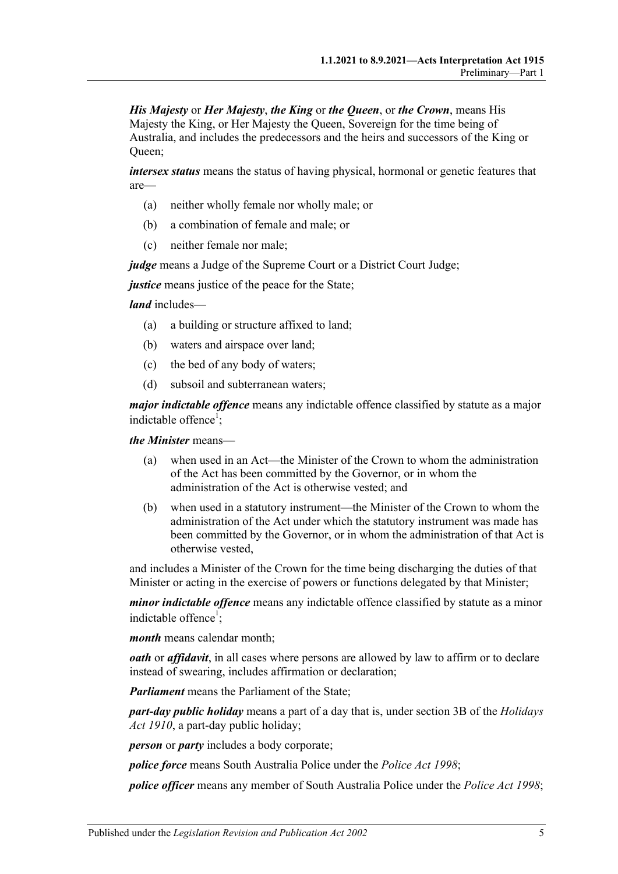*His Majesty* or *Her Majesty*, *the King* or *the Queen*, or *the Crown*, means His Majesty the King, or Her Majesty the Queen, Sovereign for the time being of Australia, and includes the predecessors and the heirs and successors of the King or Queen;

*intersex status* means the status of having physical, hormonal or genetic features that are—

- (a) neither wholly female nor wholly male; or
- (b) a combination of female and male; or
- (c) neither female nor male;

*judge* means a Judge of the Supreme Court or a District Court Judge;

*justice* means justice of the peace for the State;

*land* includes—

- (a) a building or structure affixed to land;
- (b) waters and airspace over land;
- (c) the bed of any body of waters;
- (d) subsoil and subterranean waters;

*major indictable offence* means any indictable offence classified by statute as a major indictable offence<sup>1</sup>;

*the Minister* means—

- (a) when used in an Act—the Minister of the Crown to whom the administration of the Act has been committed by the Governor, or in whom the administration of the Act is otherwise vested; and
- (b) when used in a statutory instrument—the Minister of the Crown to whom the administration of the Act under which the statutory instrument was made has been committed by the Governor, or in whom the administration of that Act is otherwise vested,

and includes a Minister of the Crown for the time being discharging the duties of that Minister or acting in the exercise of powers or functions delegated by that Minister;

*minor indictable offence* means any indictable offence classified by statute as a minor indictable offence<sup>1</sup>;

*month* means calendar month;

*oath* or *affidavit*, in all cases where persons are allowed by law to affirm or to declare instead of swearing, includes affirmation or declaration;

*Parliament* means the Parliament of the State;

*part-day public holiday* means a part of a day that is, under section 3B of the *[Holidays](http://www.legislation.sa.gov.au/index.aspx?action=legref&type=act&legtitle=Holidays%20Act%201910)  Act [1910](http://www.legislation.sa.gov.au/index.aspx?action=legref&type=act&legtitle=Holidays%20Act%201910)*, a part-day public holiday;

*person* or *party* includes a body corporate;

*police force* means South Australia Police under the *[Police Act](http://www.legislation.sa.gov.au/index.aspx?action=legref&type=act&legtitle=Police%20Act%201998) 1998*;

*police officer* means any member of South Australia Police under the *[Police Act](http://www.legislation.sa.gov.au/index.aspx?action=legref&type=act&legtitle=Police%20Act%201998) 1998*;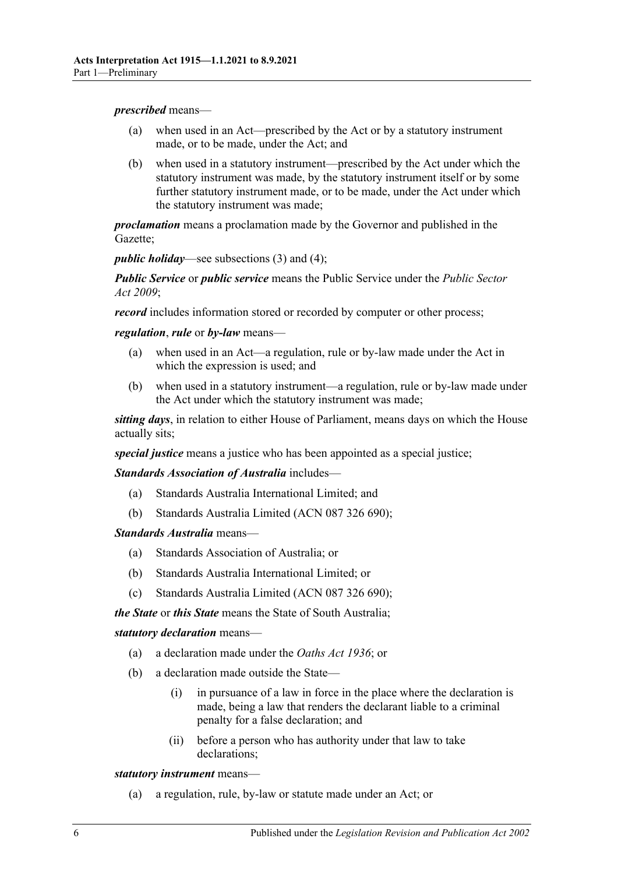#### *prescribed* means—

- (a) when used in an Act—prescribed by the Act or by a statutory instrument made, or to be made, under the Act; and
- (b) when used in a statutory instrument—prescribed by the Act under which the statutory instrument was made, by the statutory instrument itself or by some further statutory instrument made, or to be made, under the Act under which the statutory instrument was made;

*proclamation* means a proclamation made by the Governor and published in the Gazette;

*public holiday*—see [subsections](#page-6-1) (3) and [\(4\);](#page-6-2)

*Public Service* or *public service* means the Public Service under the *[Public Sector](http://www.legislation.sa.gov.au/index.aspx?action=legref&type=act&legtitle=Public%20Sector%20Act%202009)  Act [2009](http://www.legislation.sa.gov.au/index.aspx?action=legref&type=act&legtitle=Public%20Sector%20Act%202009)*;

*record* includes information stored or recorded by computer or other process;

*regulation*, *rule* or *by-law* means—

- (a) when used in an Act—a regulation, rule or by-law made under the Act in which the expression is used; and
- (b) when used in a statutory instrument—a regulation, rule or by-law made under the Act under which the statutory instrument was made;

*sitting days*, in relation to either House of Parliament, means days on which the House actually sits;

*special justice* means a justice who has been appointed as a special justice;

*Standards Association of Australia* includes—

- (a) Standards Australia International Limited; and
- (b) Standards Australia Limited (ACN 087 326 690);

*Standards Australia* means—

- (a) Standards Association of Australia; or
- (b) Standards Australia International Limited; or
- (c) Standards Australia Limited (ACN 087 326 690);

*the State* or *this State* means the State of South Australia;

#### *statutory declaration* means—

- (a) a declaration made under the *[Oaths Act](http://www.legislation.sa.gov.au/index.aspx?action=legref&type=act&legtitle=Oaths%20Act%201936) 1936*; or
- (b) a declaration made outside the State—
	- (i) in pursuance of a law in force in the place where the declaration is made, being a law that renders the declarant liable to a criminal penalty for a false declaration; and
	- (ii) before a person who has authority under that law to take declarations;

*statutory instrument* means—

(a) a regulation, rule, by-law or statute made under an Act; or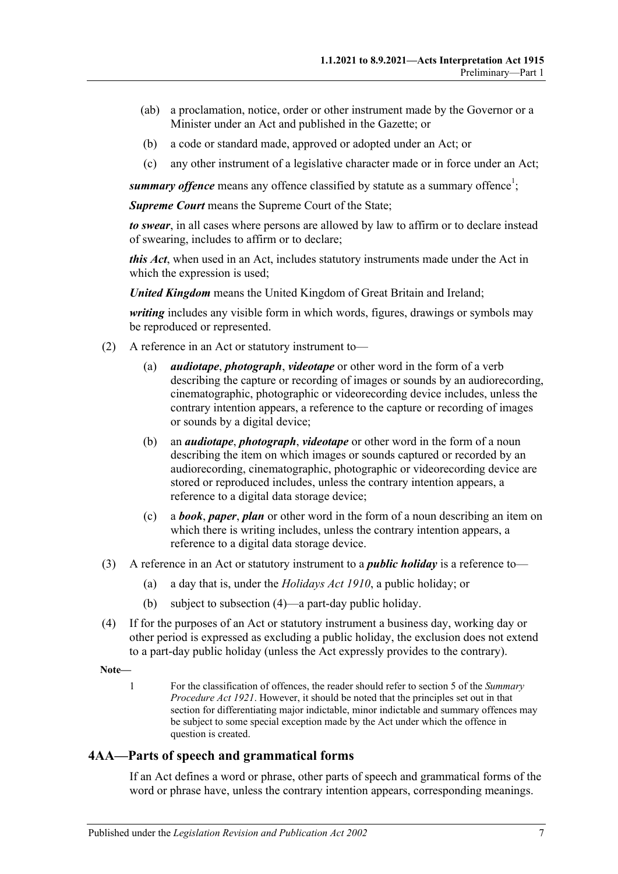- (ab) a proclamation, notice, order or other instrument made by the Governor or a Minister under an Act and published in the Gazette; or
- (b) a code or standard made, approved or adopted under an Act; or
- (c) any other instrument of a legislative character made or in force under an Act;

summary offence means any offence classified by statute as a summary offence<sup>1</sup>;

*Supreme Court* means the Supreme Court of the State;

*to swear*, in all cases where persons are allowed by law to affirm or to declare instead of swearing, includes to affirm or to declare;

*this Act*, when used in an Act, includes statutory instruments made under the Act in which the expression is used;

*United Kingdom* means the United Kingdom of Great Britain and Ireland;

*writing* includes any visible form in which words, figures, drawings or symbols may be reproduced or represented.

- (2) A reference in an Act or statutory instrument to—
	- (a) *audiotape*, *photograph*, *videotape* or other word in the form of a verb describing the capture or recording of images or sounds by an audiorecording, cinematographic, photographic or videorecording device includes, unless the contrary intention appears, a reference to the capture or recording of images or sounds by a digital device;
	- (b) an *audiotape*, *photograph*, *videotape* or other word in the form of a noun describing the item on which images or sounds captured or recorded by an audiorecording, cinematographic, photographic or videorecording device are stored or reproduced includes, unless the contrary intention appears, a reference to a digital data storage device;
	- (c) a *book*, *paper*, *plan* or other word in the form of a noun describing an item on which there is writing includes, unless the contrary intention appears, a reference to a digital data storage device.
- <span id="page-6-1"></span>(3) A reference in an Act or statutory instrument to a *public holiday* is a reference to—
	- (a) a day that is, under the *[Holidays Act](http://www.legislation.sa.gov.au/index.aspx?action=legref&type=act&legtitle=Holidays%20Act%201910) 1910*, a public holiday; or
	- (b) subject to [subsection](#page-6-2) (4)—a part-day public holiday.
- <span id="page-6-2"></span>(4) If for the purposes of an Act or statutory instrument a business day, working day or other period is expressed as excluding a public holiday, the exclusion does not extend to a part-day public holiday (unless the Act expressly provides to the contrary).

**Note—**

1 For the classification of offences, the reader should refer to section 5 of the *[Summary](http://www.legislation.sa.gov.au/index.aspx?action=legref&type=act&legtitle=Summary%20Procedure%20Act%201921)  [Procedure Act](http://www.legislation.sa.gov.au/index.aspx?action=legref&type=act&legtitle=Summary%20Procedure%20Act%201921) 1921*. However, it should be noted that the principles set out in that section for differentiating major indictable, minor indictable and summary offences may be subject to some special exception made by the Act under which the offence in question is created.

#### <span id="page-6-0"></span>**4AA—Parts of speech and grammatical forms**

If an Act defines a word or phrase, other parts of speech and grammatical forms of the word or phrase have, unless the contrary intention appears, corresponding meanings.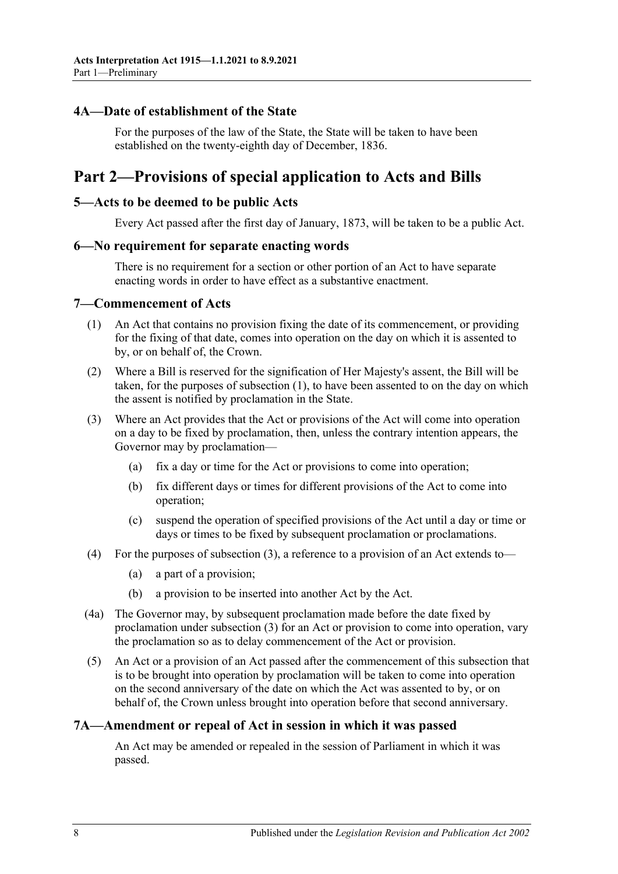#### <span id="page-7-0"></span>**4A—Date of establishment of the State**

For the purposes of the law of the State, the State will be taken to have been established on the twenty-eighth day of December, 1836.

# <span id="page-7-1"></span>**Part 2—Provisions of special application to Acts and Bills**

#### <span id="page-7-2"></span>**5—Acts to be deemed to be public Acts**

Every Act passed after the first day of January, 1873, will be taken to be a public Act.

#### <span id="page-7-3"></span>**6—No requirement for separate enacting words**

There is no requirement for a section or other portion of an Act to have separate enacting words in order to have effect as a substantive enactment.

#### <span id="page-7-6"></span><span id="page-7-4"></span>**7—Commencement of Acts**

- (1) An Act that contains no provision fixing the date of its commencement, or providing for the fixing of that date, comes into operation on the day on which it is assented to by, or on behalf of, the Crown.
- (2) Where a Bill is reserved for the signification of Her Majesty's assent, the Bill will be taken, for the purposes of [subsection](#page-7-6) (1), to have been assented to on the day on which the assent is notified by proclamation in the State.
- <span id="page-7-7"></span>(3) Where an Act provides that the Act or provisions of the Act will come into operation on a day to be fixed by proclamation, then, unless the contrary intention appears, the Governor may by proclamation—
	- (a) fix a day or time for the Act or provisions to come into operation;
	- (b) fix different days or times for different provisions of the Act to come into operation;
	- (c) suspend the operation of specified provisions of the Act until a day or time or days or times to be fixed by subsequent proclamation or proclamations.
- (4) For the purposes of [subsection](#page-7-7) (3), a reference to a provision of an Act extends to—
	- (a) a part of a provision;
	- (b) a provision to be inserted into another Act by the Act.
- (4a) The Governor may, by subsequent proclamation made before the date fixed by proclamation under [subsection](#page-7-7) (3) for an Act or provision to come into operation, vary the proclamation so as to delay commencement of the Act or provision.
- (5) An Act or a provision of an Act passed after the commencement of this subsection that is to be brought into operation by proclamation will be taken to come into operation on the second anniversary of the date on which the Act was assented to by, or on behalf of, the Crown unless brought into operation before that second anniversary.

#### <span id="page-7-5"></span>**7A—Amendment or repeal of Act in session in which it was passed**

An Act may be amended or repealed in the session of Parliament in which it was passed.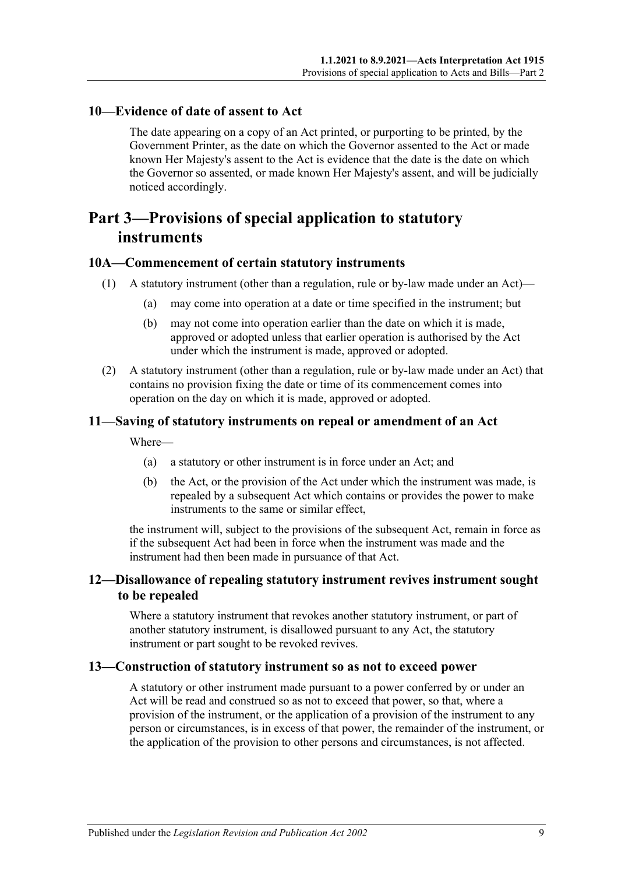#### <span id="page-8-0"></span>**10—Evidence of date of assent to Act**

The date appearing on a copy of an Act printed, or purporting to be printed, by the Government Printer, as the date on which the Governor assented to the Act or made known Her Majesty's assent to the Act is evidence that the date is the date on which the Governor so assented, or made known Her Majesty's assent, and will be judicially noticed accordingly.

# <span id="page-8-1"></span>**Part 3—Provisions of special application to statutory instruments**

#### <span id="page-8-2"></span>**10A—Commencement of certain statutory instruments**

- (1) A statutory instrument (other than a regulation, rule or by-law made under an Act)—
	- (a) may come into operation at a date or time specified in the instrument; but
	- (b) may not come into operation earlier than the date on which it is made, approved or adopted unless that earlier operation is authorised by the Act under which the instrument is made, approved or adopted.
- (2) A statutory instrument (other than a regulation, rule or by-law made under an Act) that contains no provision fixing the date or time of its commencement comes into operation on the day on which it is made, approved or adopted.

#### <span id="page-8-3"></span>**11—Saving of statutory instruments on repeal or amendment of an Act**

Where—

- (a) a statutory or other instrument is in force under an Act; and
- (b) the Act, or the provision of the Act under which the instrument was made, is repealed by a subsequent Act which contains or provides the power to make instruments to the same or similar effect,

the instrument will, subject to the provisions of the subsequent Act, remain in force as if the subsequent Act had been in force when the instrument was made and the instrument had then been made in pursuance of that Act.

### <span id="page-8-4"></span>**12—Disallowance of repealing statutory instrument revives instrument sought to be repealed**

Where a statutory instrument that revokes another statutory instrument, or part of another statutory instrument, is disallowed pursuant to any Act, the statutory instrument or part sought to be revoked revives.

#### <span id="page-8-5"></span>**13—Construction of statutory instrument so as not to exceed power**

A statutory or other instrument made pursuant to a power conferred by or under an Act will be read and construed so as not to exceed that power, so that, where a provision of the instrument, or the application of a provision of the instrument to any person or circumstances, is in excess of that power, the remainder of the instrument, or the application of the provision to other persons and circumstances, is not affected.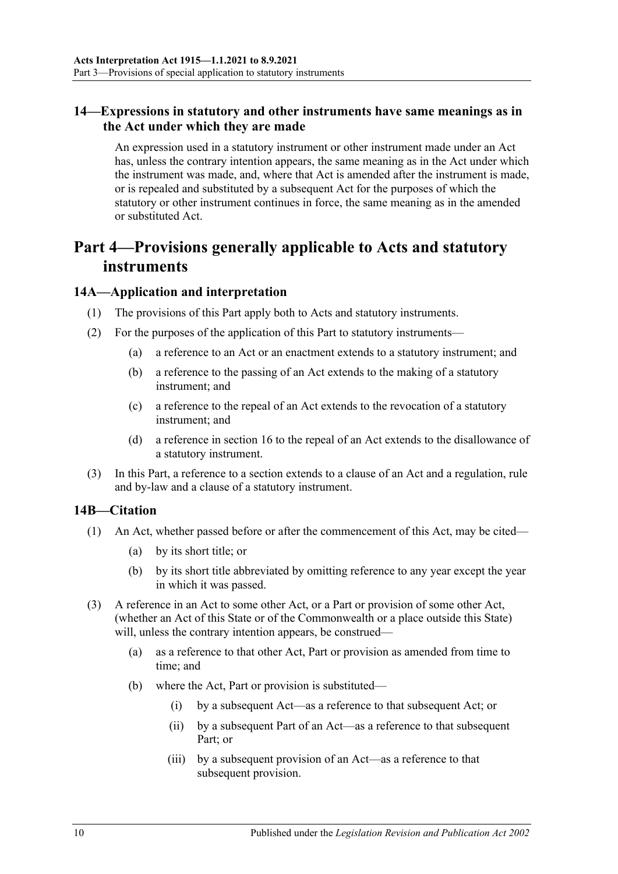### <span id="page-9-0"></span>**14—Expressions in statutory and other instruments have same meanings as in the Act under which they are made**

An expression used in a statutory instrument or other instrument made under an Act has, unless the contrary intention appears, the same meaning as in the Act under which the instrument was made, and, where that Act is amended after the instrument is made, or is repealed and substituted by a subsequent Act for the purposes of which the statutory or other instrument continues in force, the same meaning as in the amended or substituted Act.

# <span id="page-9-1"></span>**Part 4—Provisions generally applicable to Acts and statutory instruments**

#### <span id="page-9-2"></span>**14A—Application and interpretation**

- (1) The provisions of this Part apply both to Acts and statutory instruments.
- (2) For the purposes of the application of this Part to statutory instruments—
	- (a) a reference to an Act or an enactment extends to a statutory instrument; and
	- (b) a reference to the passing of an Act extends to the making of a statutory instrument; and
	- (c) a reference to the repeal of an Act extends to the revocation of a statutory instrument; and
	- (d) a reference in [section](#page-11-1) 16 to the repeal of an Act extends to the disallowance of a statutory instrument.
- (3) In this Part, a reference to a section extends to a clause of an Act and a regulation, rule and by-law and a clause of a statutory instrument.

#### <span id="page-9-3"></span>**14B—Citation**

- (1) An Act, whether passed before or after the commencement of this Act, may be cited—
	- (a) by its short title; or
	- (b) by its short title abbreviated by omitting reference to any year except the year in which it was passed.
- (3) A reference in an Act to some other Act, or a Part or provision of some other Act, (whether an Act of this State or of the Commonwealth or a place outside this State) will, unless the contrary intention appears, be construed—
	- (a) as a reference to that other Act, Part or provision as amended from time to time; and
	- (b) where the Act, Part or provision is substituted—
		- (i) by a subsequent Act—as a reference to that subsequent Act; or
		- (ii) by a subsequent Part of an Act—as a reference to that subsequent Part; or
		- (iii) by a subsequent provision of an Act—as a reference to that subsequent provision.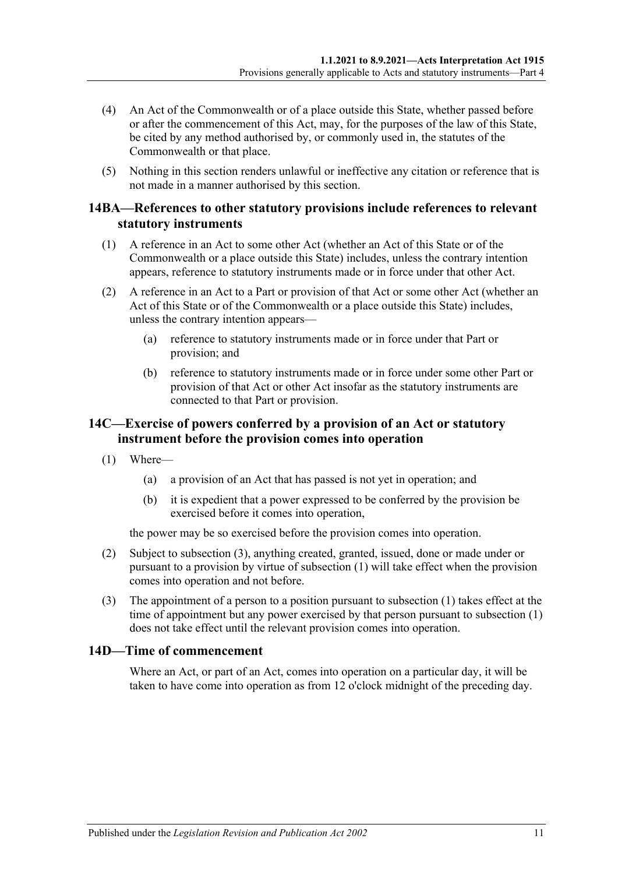- (4) An Act of the Commonwealth or of a place outside this State, whether passed before or after the commencement of this Act, may, for the purposes of the law of this State, be cited by any method authorised by, or commonly used in, the statutes of the Commonwealth or that place.
- (5) Nothing in this section renders unlawful or ineffective any citation or reference that is not made in a manner authorised by this section.

#### <span id="page-10-0"></span>**14BA—References to other statutory provisions include references to relevant statutory instruments**

- (1) A reference in an Act to some other Act (whether an Act of this State or of the Commonwealth or a place outside this State) includes, unless the contrary intention appears, reference to statutory instruments made or in force under that other Act.
- (2) A reference in an Act to a Part or provision of that Act or some other Act (whether an Act of this State or of the Commonwealth or a place outside this State) includes, unless the contrary intention appears—
	- (a) reference to statutory instruments made or in force under that Part or provision; and
	- (b) reference to statutory instruments made or in force under some other Part or provision of that Act or other Act insofar as the statutory instruments are connected to that Part or provision.

### <span id="page-10-1"></span>**14C—Exercise of powers conferred by a provision of an Act or statutory instrument before the provision comes into operation**

- <span id="page-10-4"></span>(1) Where—
	- (a) a provision of an Act that has passed is not yet in operation; and
	- (b) it is expedient that a power expressed to be conferred by the provision be exercised before it comes into operation,

the power may be so exercised before the provision comes into operation.

- (2) Subject to [subsection](#page-10-3) (3), anything created, granted, issued, done or made under or pursuant to a provision by virtue of [subsection](#page-10-4) (1) will take effect when the provision comes into operation and not before.
- <span id="page-10-3"></span>(3) The appointment of a person to a position pursuant to [subsection](#page-10-4) (1) takes effect at the time of appointment but any power exercised by that person pursuant to [subsection](#page-10-4) (1) does not take effect until the relevant provision comes into operation.

# <span id="page-10-2"></span>**14D—Time of commencement**

Where an Act, or part of an Act, comes into operation on a particular day, it will be taken to have come into operation as from 12 o'clock midnight of the preceding day.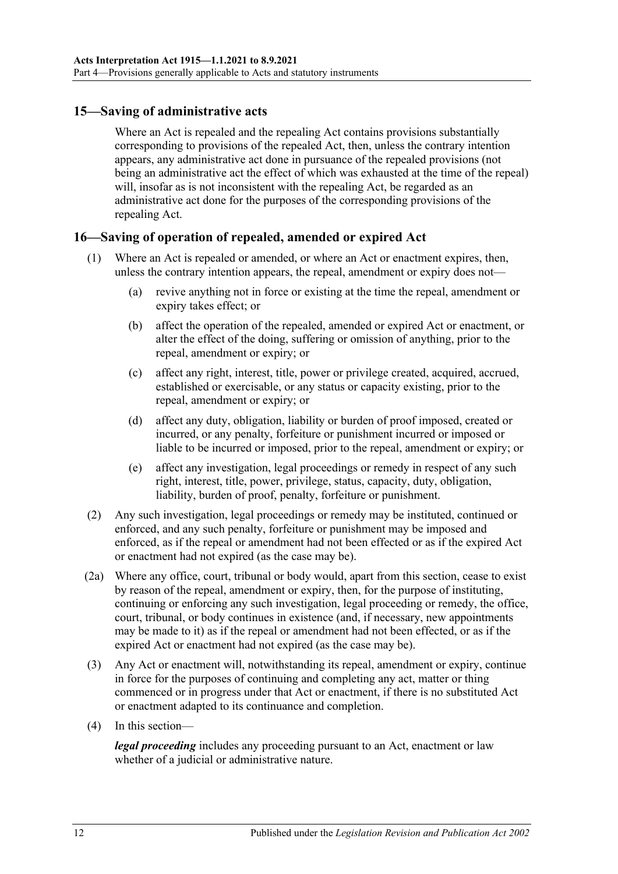## <span id="page-11-0"></span>**15—Saving of administrative acts**

Where an Act is repealed and the repealing Act contains provisions substantially corresponding to provisions of the repealed Act, then, unless the contrary intention appears, any administrative act done in pursuance of the repealed provisions (not being an administrative act the effect of which was exhausted at the time of the repeal) will, insofar as is not inconsistent with the repealing Act, be regarded as an administrative act done for the purposes of the corresponding provisions of the repealing Act.

#### <span id="page-11-1"></span>**16—Saving of operation of repealed, amended or expired Act**

- (1) Where an Act is repealed or amended, or where an Act or enactment expires, then, unless the contrary intention appears, the repeal, amendment or expiry does not—
	- (a) revive anything not in force or existing at the time the repeal, amendment or expiry takes effect; or
	- (b) affect the operation of the repealed, amended or expired Act or enactment, or alter the effect of the doing, suffering or omission of anything, prior to the repeal, amendment or expiry; or
	- (c) affect any right, interest, title, power or privilege created, acquired, accrued, established or exercisable, or any status or capacity existing, prior to the repeal, amendment or expiry; or
	- (d) affect any duty, obligation, liability or burden of proof imposed, created or incurred, or any penalty, forfeiture or punishment incurred or imposed or liable to be incurred or imposed, prior to the repeal, amendment or expiry; or
	- (e) affect any investigation, legal proceedings or remedy in respect of any such right, interest, title, power, privilege, status, capacity, duty, obligation, liability, burden of proof, penalty, forfeiture or punishment.
- (2) Any such investigation, legal proceedings or remedy may be instituted, continued or enforced, and any such penalty, forfeiture or punishment may be imposed and enforced, as if the repeal or amendment had not been effected or as if the expired Act or enactment had not expired (as the case may be).
- (2a) Where any office, court, tribunal or body would, apart from this section, cease to exist by reason of the repeal, amendment or expiry, then, for the purpose of instituting, continuing or enforcing any such investigation, legal proceeding or remedy, the office, court, tribunal, or body continues in existence (and, if necessary, new appointments may be made to it) as if the repeal or amendment had not been effected, or as if the expired Act or enactment had not expired (as the case may be).
- (3) Any Act or enactment will, notwithstanding its repeal, amendment or expiry, continue in force for the purposes of continuing and completing any act, matter or thing commenced or in progress under that Act or enactment, if there is no substituted Act or enactment adapted to its continuance and completion.
- (4) In this section—

*legal proceeding* includes any proceeding pursuant to an Act, enactment or law whether of a judicial or administrative nature.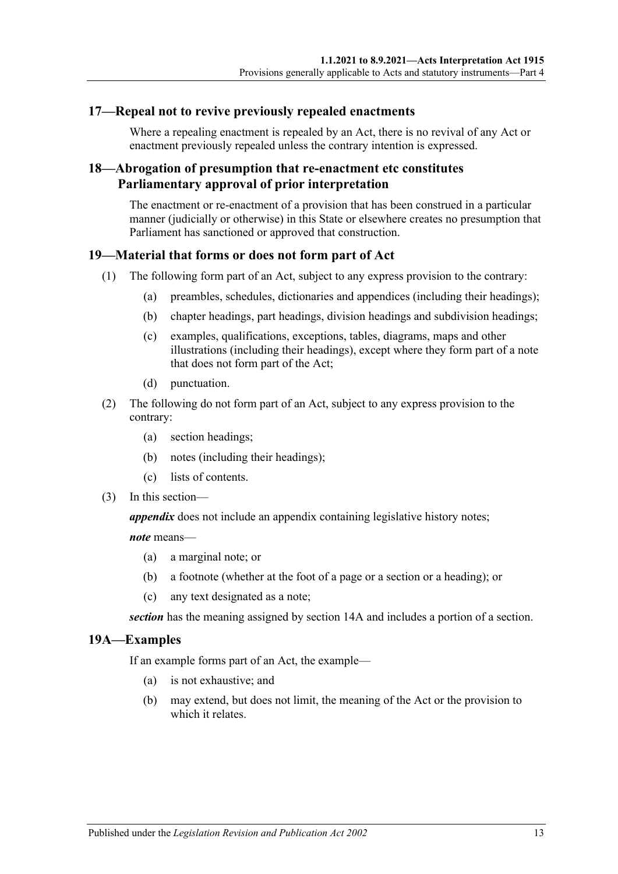#### <span id="page-12-0"></span>**17—Repeal not to revive previously repealed enactments**

Where a repealing enactment is repealed by an Act, there is no revival of any Act or enactment previously repealed unless the contrary intention is expressed.

### <span id="page-12-1"></span>**18—Abrogation of presumption that re-enactment etc constitutes Parliamentary approval of prior interpretation**

The enactment or re-enactment of a provision that has been construed in a particular manner (judicially or otherwise) in this State or elsewhere creates no presumption that Parliament has sanctioned or approved that construction.

### <span id="page-12-2"></span>**19—Material that forms or does not form part of Act**

- (1) The following form part of an Act, subject to any express provision to the contrary:
	- (a) preambles, schedules, dictionaries and appendices (including their headings);
	- (b) chapter headings, part headings, division headings and subdivision headings;
	- (c) examples, qualifications, exceptions, tables, diagrams, maps and other illustrations (including their headings), except where they form part of a note that does not form part of the Act;
	- (d) punctuation.
- (2) The following do not form part of an Act, subject to any express provision to the contrary:
	- (a) section headings;
	- (b) notes (including their headings);
	- (c) lists of contents.
- (3) In this section—

*appendix* does not include an appendix containing legislative history notes;

*note* means—

- (a) a marginal note; or
- (b) a footnote (whether at the foot of a page or a section or a heading); or
- (c) any text designated as a note;

*section* has the meaning assigned by [section](#page-9-2) 14A and includes a portion of a section.

#### <span id="page-12-3"></span>**19A—Examples**

If an example forms part of an Act, the example—

- (a) is not exhaustive; and
- (b) may extend, but does not limit, the meaning of the Act or the provision to which it relates.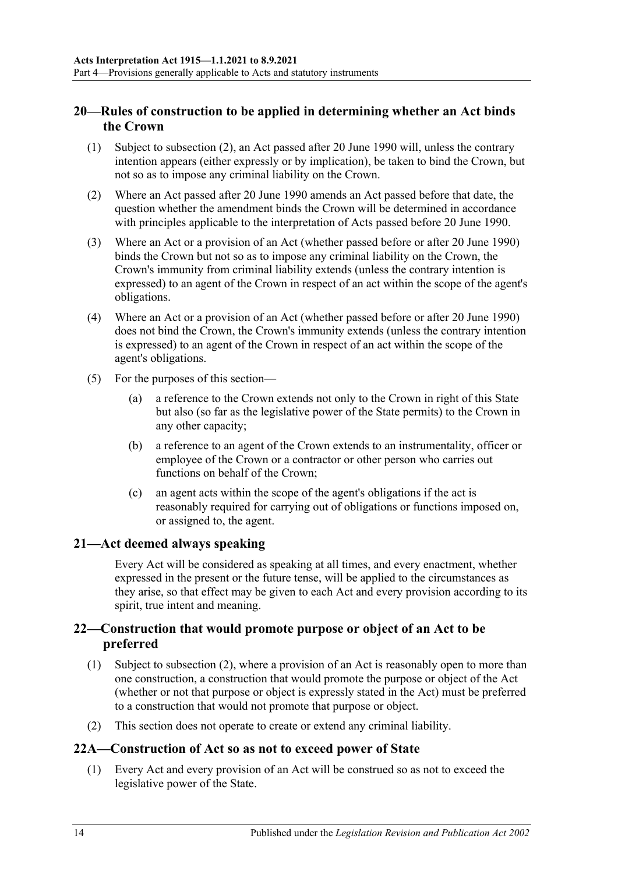# <span id="page-13-0"></span>**20—Rules of construction to be applied in determining whether an Act binds the Crown**

- (1) Subject to [subsection](#page-13-4) (2), an Act passed after 20 June 1990 will, unless the contrary intention appears (either expressly or by implication), be taken to bind the Crown, but not so as to impose any criminal liability on the Crown.
- <span id="page-13-4"></span>(2) Where an Act passed after 20 June 1990 amends an Act passed before that date, the question whether the amendment binds the Crown will be determined in accordance with principles applicable to the interpretation of Acts passed before 20 June 1990.
- (3) Where an Act or a provision of an Act (whether passed before or after 20 June 1990) binds the Crown but not so as to impose any criminal liability on the Crown, the Crown's immunity from criminal liability extends (unless the contrary intention is expressed) to an agent of the Crown in respect of an act within the scope of the agent's obligations.
- (4) Where an Act or a provision of an Act (whether passed before or after 20 June 1990) does not bind the Crown, the Crown's immunity extends (unless the contrary intention is expressed) to an agent of the Crown in respect of an act within the scope of the agent's obligations.
- (5) For the purposes of this section—
	- (a) a reference to the Crown extends not only to the Crown in right of this State but also (so far as the legislative power of the State permits) to the Crown in any other capacity;
	- (b) a reference to an agent of the Crown extends to an instrumentality, officer or employee of the Crown or a contractor or other person who carries out functions on behalf of the Crown;
	- (c) an agent acts within the scope of the agent's obligations if the act is reasonably required for carrying out of obligations or functions imposed on, or assigned to, the agent.

#### <span id="page-13-1"></span>**21—Act deemed always speaking**

Every Act will be considered as speaking at all times, and every enactment, whether expressed in the present or the future tense, will be applied to the circumstances as they arise, so that effect may be given to each Act and every provision according to its spirit, true intent and meaning.

# <span id="page-13-2"></span>**22—Construction that would promote purpose or object of an Act to be preferred**

- (1) Subject to [subsection](#page-13-5) (2), where a provision of an Act is reasonably open to more than one construction, a construction that would promote the purpose or object of the Act (whether or not that purpose or object is expressly stated in the Act) must be preferred to a construction that would not promote that purpose or object.
- <span id="page-13-5"></span>(2) This section does not operate to create or extend any criminal liability.

#### <span id="page-13-3"></span>**22A—Construction of Act so as not to exceed power of State**

(1) Every Act and every provision of an Act will be construed so as not to exceed the legislative power of the State.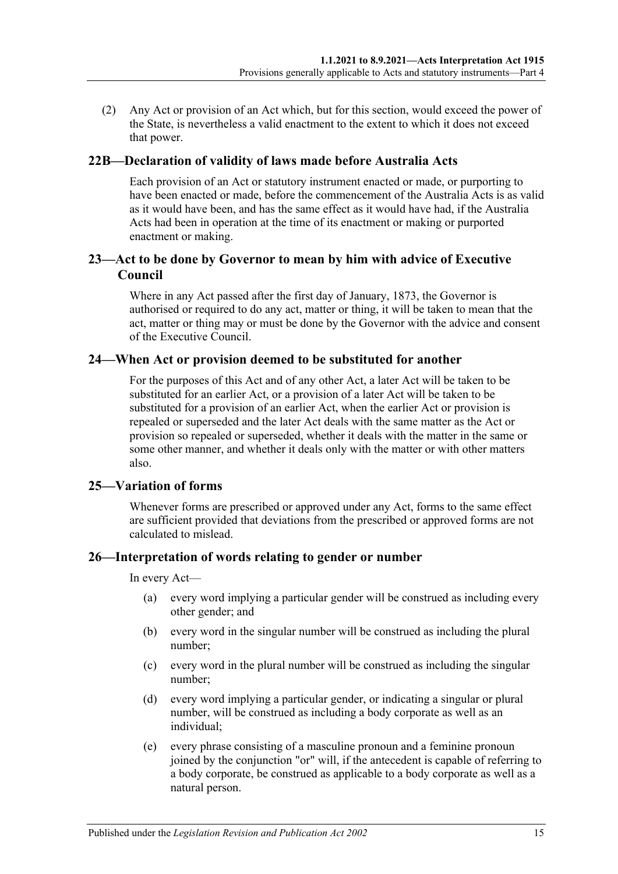(2) Any Act or provision of an Act which, but for this section, would exceed the power of the State, is nevertheless a valid enactment to the extent to which it does not exceed that power.

#### <span id="page-14-0"></span>**22B—Declaration of validity of laws made before Australia Acts**

Each provision of an Act or statutory instrument enacted or made, or purporting to have been enacted or made, before the commencement of the Australia Acts is as valid as it would have been, and has the same effect as it would have had, if the Australia Acts had been in operation at the time of its enactment or making or purported enactment or making.

### <span id="page-14-1"></span>**23—Act to be done by Governor to mean by him with advice of Executive Council**

Where in any Act passed after the first day of January, 1873, the Governor is authorised or required to do any act, matter or thing, it will be taken to mean that the act, matter or thing may or must be done by the Governor with the advice and consent of the Executive Council.

#### <span id="page-14-2"></span>**24—When Act or provision deemed to be substituted for another**

For the purposes of this Act and of any other Act, a later Act will be taken to be substituted for an earlier Act, or a provision of a later Act will be taken to be substituted for a provision of an earlier Act, when the earlier Act or provision is repealed or superseded and the later Act deals with the same matter as the Act or provision so repealed or superseded, whether it deals with the matter in the same or some other manner, and whether it deals only with the matter or with other matters also.

# <span id="page-14-3"></span>**25—Variation of forms**

Whenever forms are prescribed or approved under any Act, forms to the same effect are sufficient provided that deviations from the prescribed or approved forms are not calculated to mislead.

#### <span id="page-14-4"></span>**26—Interpretation of words relating to gender or number**

In every Act—

- (a) every word implying a particular gender will be construed as including every other gender; and
- (b) every word in the singular number will be construed as including the plural number;
- (c) every word in the plural number will be construed as including the singular number;
- (d) every word implying a particular gender, or indicating a singular or plural number, will be construed as including a body corporate as well as an individual;
- (e) every phrase consisting of a masculine pronoun and a feminine pronoun joined by the conjunction "or" will, if the antecedent is capable of referring to a body corporate, be construed as applicable to a body corporate as well as a natural person.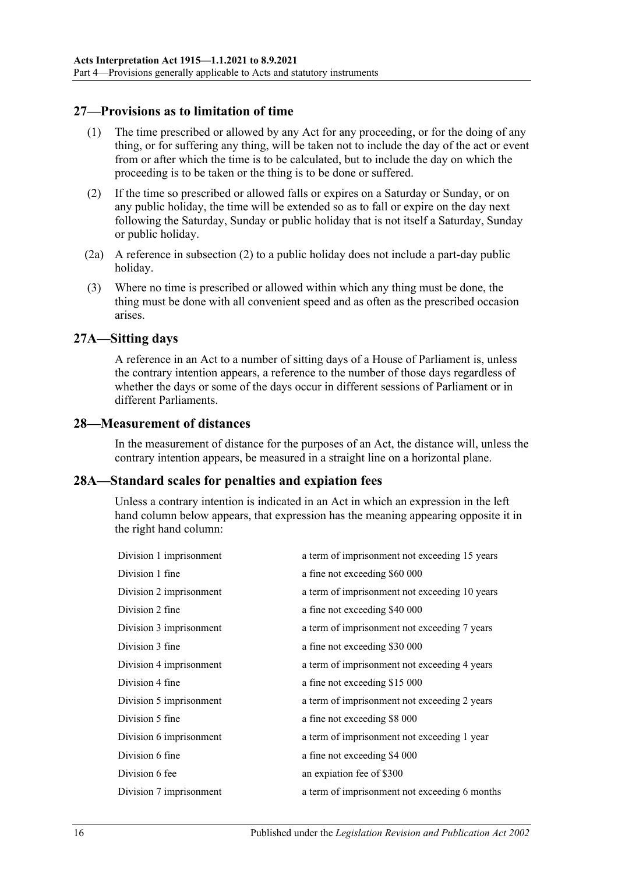### <span id="page-15-0"></span>**27—Provisions as to limitation of time**

- (1) The time prescribed or allowed by any Act for any proceeding, or for the doing of any thing, or for suffering any thing, will be taken not to include the day of the act or event from or after which the time is to be calculated, but to include the day on which the proceeding is to be taken or the thing is to be done or suffered.
- <span id="page-15-4"></span>(2) If the time so prescribed or allowed falls or expires on a Saturday or Sunday, or on any public holiday, the time will be extended so as to fall or expire on the day next following the Saturday, Sunday or public holiday that is not itself a Saturday, Sunday or public holiday.
- (2a) A reference in [subsection](#page-15-4) (2) to a public holiday does not include a part-day public holiday.
- (3) Where no time is prescribed or allowed within which any thing must be done, the thing must be done with all convenient speed and as often as the prescribed occasion arises.

#### <span id="page-15-1"></span>**27A—Sitting days**

A reference in an Act to a number of sitting days of a House of Parliament is, unless the contrary intention appears, a reference to the number of those days regardless of whether the days or some of the days occur in different sessions of Parliament or in different Parliaments.

#### <span id="page-15-2"></span>**28—Measurement of distances**

In the measurement of distance for the purposes of an Act, the distance will, unless the contrary intention appears, be measured in a straight line on a horizontal plane.

#### <span id="page-15-3"></span>**28A—Standard scales for penalties and expiation fees**

Unless a contrary intention is indicated in an Act in which an expression in the left hand column below appears, that expression has the meaning appearing opposite it in the right hand column:

| Division 1 imprisonment | a term of imprisonment not exceeding 15 years |
|-------------------------|-----------------------------------------------|
| Division 1 fine         | a fine not exceeding \$60 000                 |
| Division 2 imprisonment | a term of imprisonment not exceeding 10 years |
| Division 2 fine         | a fine not exceeding \$40 000                 |
| Division 3 imprisonment | a term of imprisonment not exceeding 7 years  |
| Division 3 fine         | a fine not exceeding \$30 000                 |
| Division 4 imprisonment | a term of imprisonment not exceeding 4 years  |
| Division 4 fine         | a fine not exceeding \$15 000                 |
| Division 5 imprisonment | a term of imprisonment not exceeding 2 years  |
| Division 5 fine         | a fine not exceeding \$8 000                  |
| Division 6 imprisonment | a term of imprisonment not exceeding 1 year   |
| Division 6 fine         | a fine not exceeding \$4 000                  |
| Division 6 fee          | an expiation fee of \$300                     |
| Division 7 imprisonment | a term of imprisonment not exceeding 6 months |
|                         |                                               |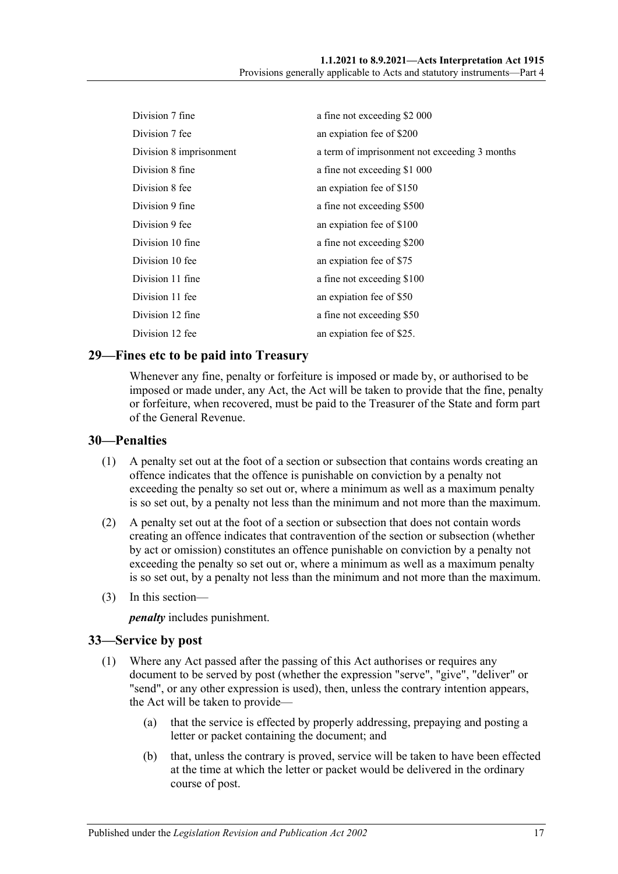| Division 7 fine         | a fine not exceeding \$2 000                  |
|-------------------------|-----------------------------------------------|
| Division 7 fee          | an expiation fee of \$200                     |
| Division 8 imprisonment | a term of imprisonment not exceeding 3 months |
| Division 8 fine         | a fine not exceeding \$1 000                  |
| Division 8 fee          | an expiation fee of \$150                     |
| Division 9 fine         | a fine not exceeding \$500                    |
| Division 9 fee          | an expiation fee of \$100                     |
| Division 10 fine        | a fine not exceeding \$200                    |
| Division 10 fee         | an expiation fee of \$75                      |
| Division 11 fine        | a fine not exceeding \$100                    |
| Division 11 fee         | an expiation fee of \$50                      |
| Division 12 fine        | a fine not exceeding \$50                     |
| Division 12 fee         | an expiation fee of \$25.                     |

#### <span id="page-16-0"></span>**29—Fines etc to be paid into Treasury**

Whenever any fine, penalty or forfeiture is imposed or made by, or authorised to be imposed or made under, any Act, the Act will be taken to provide that the fine, penalty or forfeiture, when recovered, must be paid to the Treasurer of the State and form part of the General Revenue.

#### <span id="page-16-1"></span>**30—Penalties**

- (1) A penalty set out at the foot of a section or subsection that contains words creating an offence indicates that the offence is punishable on conviction by a penalty not exceeding the penalty so set out or, where a minimum as well as a maximum penalty is so set out, by a penalty not less than the minimum and not more than the maximum.
- (2) A penalty set out at the foot of a section or subsection that does not contain words creating an offence indicates that contravention of the section or subsection (whether by act or omission) constitutes an offence punishable on conviction by a penalty not exceeding the penalty so set out or, where a minimum as well as a maximum penalty is so set out, by a penalty not less than the minimum and not more than the maximum.
- (3) In this section—

*penalty* includes punishment.

#### <span id="page-16-2"></span>**33—Service by post**

- (1) Where any Act passed after the passing of this Act authorises or requires any document to be served by post (whether the expression "serve", "give", "deliver" or "send", or any other expression is used), then, unless the contrary intention appears, the Act will be taken to provide—
	- (a) that the service is effected by properly addressing, prepaying and posting a letter or packet containing the document; and
	- (b) that, unless the contrary is proved, service will be taken to have been effected at the time at which the letter or packet would be delivered in the ordinary course of post.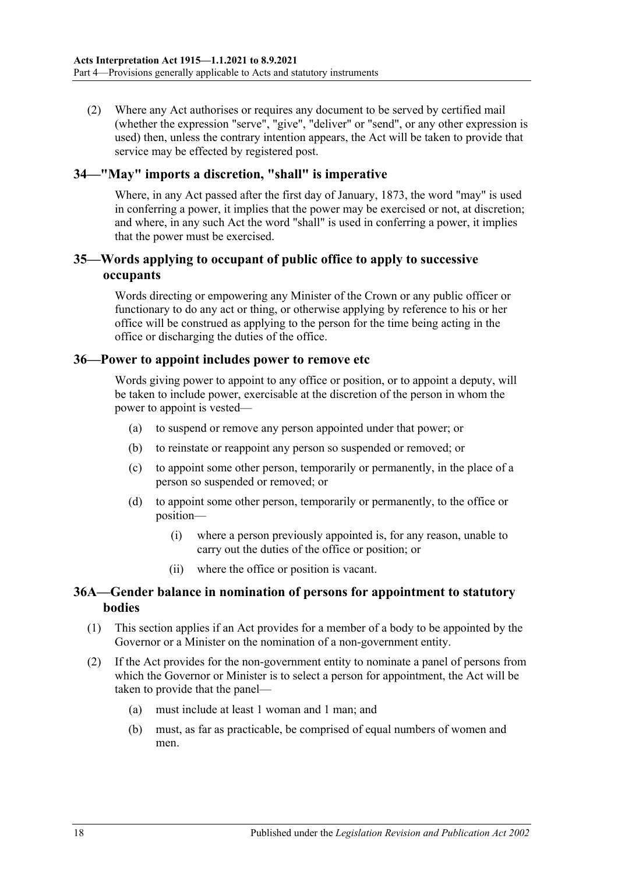(2) Where any Act authorises or requires any document to be served by certified mail (whether the expression "serve", "give", "deliver" or "send", or any other expression is used) then, unless the contrary intention appears, the Act will be taken to provide that service may be effected by registered post.

#### <span id="page-17-0"></span>**34—"May" imports a discretion, "shall" is imperative**

Where, in any Act passed after the first day of January, 1873, the word "may" is used in conferring a power, it implies that the power may be exercised or not, at discretion; and where, in any such Act the word "shall" is used in conferring a power, it implies that the power must be exercised.

### <span id="page-17-1"></span>**35—Words applying to occupant of public office to apply to successive occupants**

Words directing or empowering any Minister of the Crown or any public officer or functionary to do any act or thing, or otherwise applying by reference to his or her office will be construed as applying to the person for the time being acting in the office or discharging the duties of the office.

#### <span id="page-17-2"></span>**36—Power to appoint includes power to remove etc**

Words giving power to appoint to any office or position, or to appoint a deputy, will be taken to include power, exercisable at the discretion of the person in whom the power to appoint is vested—

- (a) to suspend or remove any person appointed under that power; or
- (b) to reinstate or reappoint any person so suspended or removed; or
- (c) to appoint some other person, temporarily or permanently, in the place of a person so suspended or removed; or
- (d) to appoint some other person, temporarily or permanently, to the office or position—
	- (i) where a person previously appointed is, for any reason, unable to carry out the duties of the office or position; or
	- (ii) where the office or position is vacant.

### <span id="page-17-3"></span>**36A—Gender balance in nomination of persons for appointment to statutory bodies**

- (1) This section applies if an Act provides for a member of a body to be appointed by the Governor or a Minister on the nomination of a non-government entity.
- (2) If the Act provides for the non-government entity to nominate a panel of persons from which the Governor or Minister is to select a person for appointment, the Act will be taken to provide that the panel—
	- (a) must include at least 1 woman and 1 man; and
	- (b) must, as far as practicable, be comprised of equal numbers of women and men.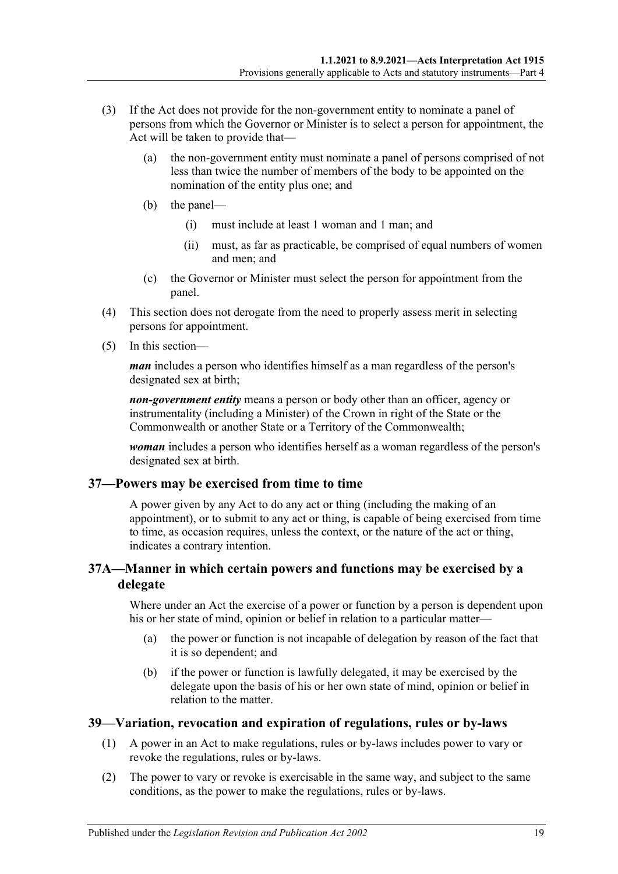- (3) If the Act does not provide for the non-government entity to nominate a panel of persons from which the Governor or Minister is to select a person for appointment, the Act will be taken to provide that—
	- (a) the non-government entity must nominate a panel of persons comprised of not less than twice the number of members of the body to be appointed on the nomination of the entity plus one; and
	- (b) the panel—
		- (i) must include at least 1 woman and 1 man; and
		- (ii) must, as far as practicable, be comprised of equal numbers of women and men; and
	- (c) the Governor or Minister must select the person for appointment from the panel.
- (4) This section does not derogate from the need to properly assess merit in selecting persons for appointment.
- (5) In this section—

*man* includes a person who identifies himself as a man regardless of the person's designated sex at birth;

*non-government entity* means a person or body other than an officer, agency or instrumentality (including a Minister) of the Crown in right of the State or the Commonwealth or another State or a Territory of the Commonwealth;

*woman* includes a person who identifies herself as a woman regardless of the person's designated sex at birth.

#### <span id="page-18-0"></span>**37—Powers may be exercised from time to time**

A power given by any Act to do any act or thing (including the making of an appointment), or to submit to any act or thing, is capable of being exercised from time to time, as occasion requires, unless the context, or the nature of the act or thing, indicates a contrary intention.

### <span id="page-18-1"></span>**37A—Manner in which certain powers and functions may be exercised by a delegate**

Where under an Act the exercise of a power or function by a person is dependent upon his or her state of mind, opinion or belief in relation to a particular matter—

- (a) the power or function is not incapable of delegation by reason of the fact that it is so dependent; and
- (b) if the power or function is lawfully delegated, it may be exercised by the delegate upon the basis of his or her own state of mind, opinion or belief in relation to the matter.

# <span id="page-18-2"></span>**39—Variation, revocation and expiration of regulations, rules or by-laws**

- (1) A power in an Act to make regulations, rules or by-laws includes power to vary or revoke the regulations, rules or by-laws.
- (2) The power to vary or revoke is exercisable in the same way, and subject to the same conditions, as the power to make the regulations, rules or by-laws.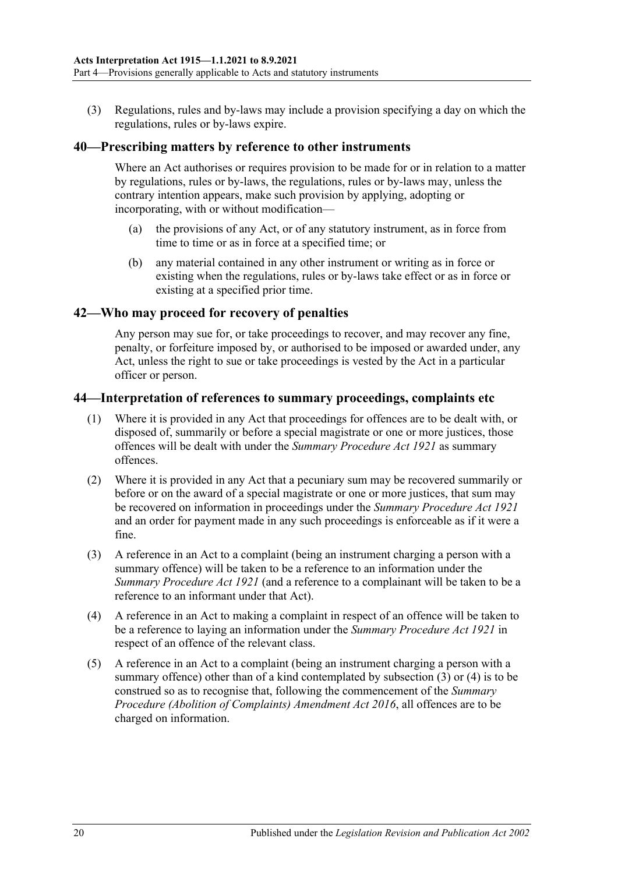(3) Regulations, rules and by-laws may include a provision specifying a day on which the regulations, rules or by-laws expire.

#### <span id="page-19-0"></span>**40—Prescribing matters by reference to other instruments**

Where an Act authorises or requires provision to be made for or in relation to a matter by regulations, rules or by-laws, the regulations, rules or by-laws may, unless the contrary intention appears, make such provision by applying, adopting or incorporating, with or without modification—

- (a) the provisions of any Act, or of any statutory instrument, as in force from time to time or as in force at a specified time; or
- (b) any material contained in any other instrument or writing as in force or existing when the regulations, rules or by-laws take effect or as in force or existing at a specified prior time.

#### <span id="page-19-1"></span>**42—Who may proceed for recovery of penalties**

Any person may sue for, or take proceedings to recover, and may recover any fine, penalty, or forfeiture imposed by, or authorised to be imposed or awarded under, any Act, unless the right to sue or take proceedings is vested by the Act in a particular officer or person.

#### <span id="page-19-2"></span>**44—Interpretation of references to summary proceedings, complaints etc**

- (1) Where it is provided in any Act that proceedings for offences are to be dealt with, or disposed of, summarily or before a special magistrate or one or more justices, those offences will be dealt with under the *[Summary Procedure Act](http://www.legislation.sa.gov.au/index.aspx?action=legref&type=act&legtitle=Summary%20Procedure%20Act%201921) 1921* as summary offences.
- (2) Where it is provided in any Act that a pecuniary sum may be recovered summarily or before or on the award of a special magistrate or one or more justices, that sum may be recovered on information in proceedings under the *[Summary Procedure Act](http://www.legislation.sa.gov.au/index.aspx?action=legref&type=act&legtitle=Summary%20Procedure%20Act%201921) 1921* and an order for payment made in any such proceedings is enforceable as if it were a fine.
- <span id="page-19-3"></span>(3) A reference in an Act to a complaint (being an instrument charging a person with a summary offence) will be taken to be a reference to an information under the *[Summary Procedure Act](http://www.legislation.sa.gov.au/index.aspx?action=legref&type=act&legtitle=Summary%20Procedure%20Act%201921) 1921* (and a reference to a complainant will be taken to be a reference to an informant under that Act).
- <span id="page-19-4"></span>(4) A reference in an Act to making a complaint in respect of an offence will be taken to be a reference to laying an information under the *[Summary Procedure Act](http://www.legislation.sa.gov.au/index.aspx?action=legref&type=act&legtitle=Summary%20Procedure%20Act%201921) 1921* in respect of an offence of the relevant class.
- (5) A reference in an Act to a complaint (being an instrument charging a person with a summary offence) other than of a kind contemplated by [subsection](#page-19-3)  $(3)$  or  $(4)$  is to be construed so as to recognise that, following the commencement of the *[Summary](http://www.legislation.sa.gov.au/index.aspx?action=legref&type=act&legtitle=Summary%20Procedure%20(Abolition%20of%20Complaints)%20Amendment%20Act%202016)  [Procedure \(Abolition of Complaints\) Amendment Act](http://www.legislation.sa.gov.au/index.aspx?action=legref&type=act&legtitle=Summary%20Procedure%20(Abolition%20of%20Complaints)%20Amendment%20Act%202016) 2016*, all offences are to be charged on information.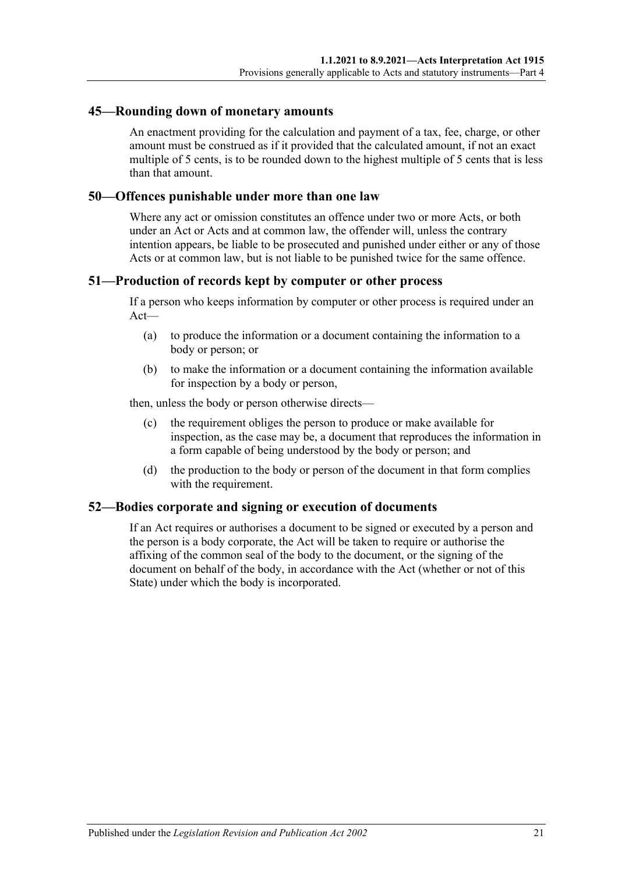#### <span id="page-20-0"></span>**45—Rounding down of monetary amounts**

An enactment providing for the calculation and payment of a tax, fee, charge, or other amount must be construed as if it provided that the calculated amount, if not an exact multiple of 5 cents, is to be rounded down to the highest multiple of 5 cents that is less than that amount.

#### <span id="page-20-1"></span>**50—Offences punishable under more than one law**

Where any act or omission constitutes an offence under two or more Acts, or both under an Act or Acts and at common law, the offender will, unless the contrary intention appears, be liable to be prosecuted and punished under either or any of those Acts or at common law, but is not liable to be punished twice for the same offence.

#### <span id="page-20-2"></span>**51—Production of records kept by computer or other process**

If a person who keeps information by computer or other process is required under an Act—

- (a) to produce the information or a document containing the information to a body or person; or
- (b) to make the information or a document containing the information available for inspection by a body or person,

then, unless the body or person otherwise directs—

- (c) the requirement obliges the person to produce or make available for inspection, as the case may be, a document that reproduces the information in a form capable of being understood by the body or person; and
- (d) the production to the body or person of the document in that form complies with the requirement.

#### <span id="page-20-3"></span>**52—Bodies corporate and signing or execution of documents**

If an Act requires or authorises a document to be signed or executed by a person and the person is a body corporate, the Act will be taken to require or authorise the affixing of the common seal of the body to the document, or the signing of the document on behalf of the body, in accordance with the Act (whether or not of this State) under which the body is incorporated.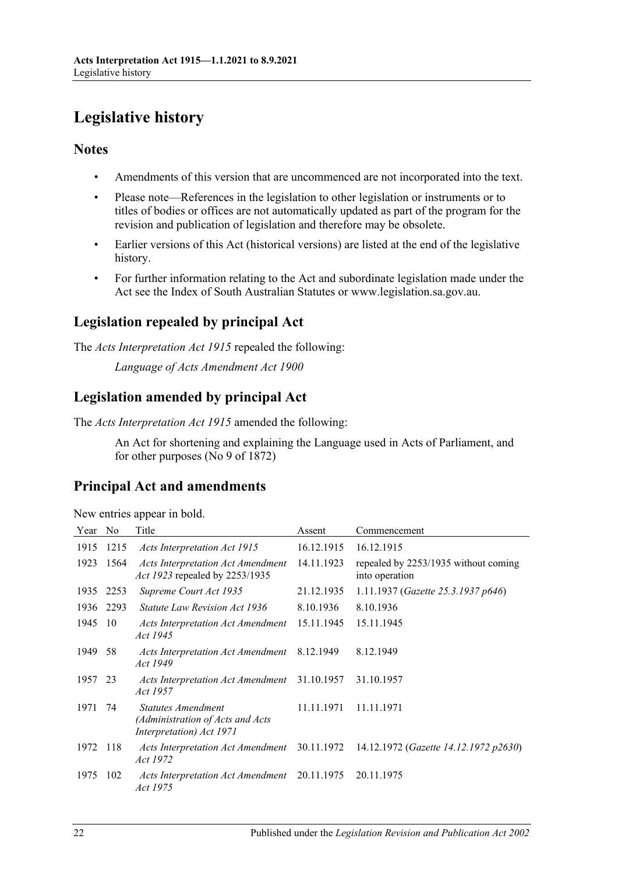# <span id="page-21-0"></span>**Legislative history**

# **Notes**

- Amendments of this version that are uncommenced are not incorporated into the text.
- Please note—References in the legislation to other legislation or instruments or to titles of bodies or offices are not automatically updated as part of the program for the revision and publication of legislation and therefore may be obsolete.
- Earlier versions of this Act (historical versions) are listed at the end of the legislative history.
- For further information relating to the Act and subordinate legislation made under the Act see the Index of South Australian Statutes or www.legislation.sa.gov.au.

# **Legislation repealed by principal Act**

The *Acts Interpretation Act 1915* repealed the following:

*Language of Acts Amendment Act 1900*

# **Legislation amended by principal Act**

The *Acts Interpretation Act 1915* amended the following:

An Act for shortening and explaining the Language used in Acts of Parliament, and for other purposes (No 9 of 1872)

# **Principal Act and amendments**

| Year No |      | Title                                                                                     | Assent     | Commencement                                                                       |
|---------|------|-------------------------------------------------------------------------------------------|------------|------------------------------------------------------------------------------------|
| 1915    | 1215 | Acts Interpretation Act 1915                                                              | 16.12.1915 | 16.12.1915                                                                         |
| 1923    | 1564 | <b>Acts Interpretation Act Amendment</b><br>Act 1923 repealed by 2253/1935                | 14.11.1923 | repealed by 2253/1935 without coming<br>into operation                             |
| 1935    | 2253 | Supreme Court Act 1935                                                                    | 21.12.1935 | 1.11.1937 (Gazette 25.3.1937 p646)                                                 |
| 1936    | 2293 | <i>Statute Law Revision Act 1936</i>                                                      | 8.10.1936  | 8.10.1936                                                                          |
| 1945    | -10  | Acts Interpretation Act Amendment<br>Act 1945                                             | 15.11.1945 | 15.11.1945                                                                         |
| 1949    | 58   | Acts Interpretation Act Amendment<br>Act 1949                                             | 8.12.1949  | 8.12.1949                                                                          |
| 1957    | 23   | <b>Acts Interpretation Act Amendment</b><br>Act 1957                                      | 31.10.1957 | 31.10.1957                                                                         |
| 1971    | 74   | <b>Statutes Amendment</b><br>(Administration of Acts and Acts<br>Interpretation) Act 1971 | 11.11.1971 | 11.11.1971                                                                         |
| 1972    | -118 | Act 1972                                                                                  |            | Acts Interpretation Act Amendment 30.11.1972 14.12.1972 (Gazette 14.12.1972 p2630) |
| 1975    | 102  | Acts Interpretation Act Amendment<br><i>Act 1975</i>                                      | 20.11.1975 | 20.11.1975                                                                         |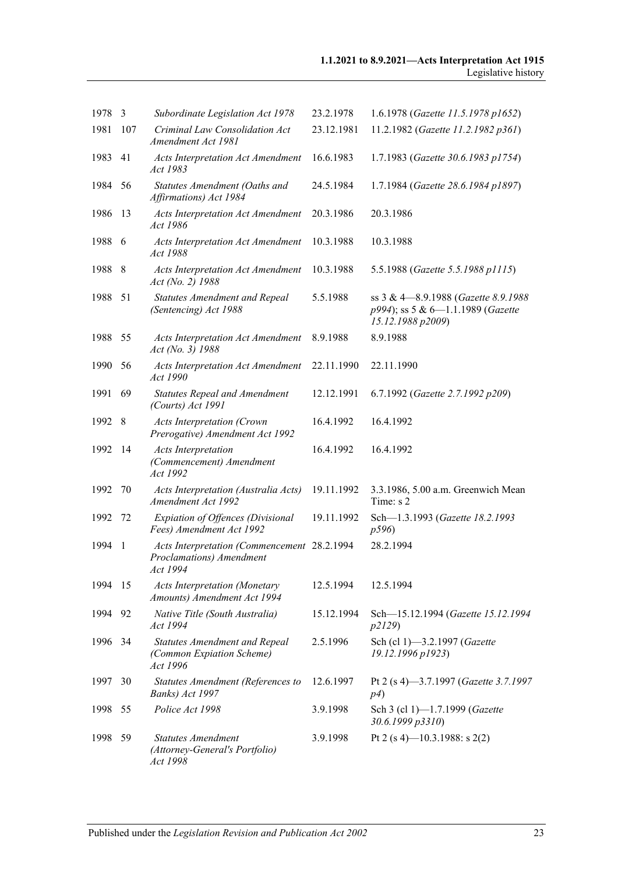| 1978 | 3   | Subordinate Legislation Act 1978                                                    | 23.2.1978  | 1.6.1978 (Gazette 11.5.1978 p1652)                                                             |
|------|-----|-------------------------------------------------------------------------------------|------------|------------------------------------------------------------------------------------------------|
| 1981 | 107 | Criminal Law Consolidation Act<br>Amendment Act 1981                                | 23.12.1981 | 11.2.1982 (Gazette 11.2.1982 p361)                                                             |
| 1983 | 41  | <b>Acts Interpretation Act Amendment</b><br>Act 1983                                | 16.6.1983  | 1.7.1983 (Gazette 30.6.1983 p1754)                                                             |
| 1984 | 56  | Statutes Amendment (Oaths and<br>Affirmations) Act 1984                             | 24.5.1984  | 1.7.1984 (Gazette 28.6.1984 p1897)                                                             |
| 1986 | 13  | <b>Acts Interpretation Act Amendment</b><br>Act 1986                                | 20.3.1986  | 20.3.1986                                                                                      |
| 1988 | 6   | <b>Acts Interpretation Act Amendment</b><br>Act 1988                                | 10.3.1988  | 10.3.1988                                                                                      |
| 1988 | 8   | <b>Acts Interpretation Act Amendment</b><br>Act (No. 2) 1988                        | 10.3.1988  | 5.5.1988 (Gazette 5.5.1988 p1115)                                                              |
| 1988 | 51  | <b>Statutes Amendment and Repeal</b><br>(Sentencing) Act 1988                       | 5.5.1988   | ss 3 & 4-8.9.1988 (Gazette 8.9.1988)<br>p994); ss 5 & 6-1.1.1989 (Gazette<br>15.12.1988 p2009) |
| 1988 | 55  | <b>Acts Interpretation Act Amendment</b><br>Act (No. 3) 1988                        | 8.9.1988   | 8.9.1988                                                                                       |
| 1990 | 56  | <b>Acts Interpretation Act Amendment</b><br>Act 1990                                | 22.11.1990 | 22.11.1990                                                                                     |
| 1991 | 69  | <b>Statutes Repeal and Amendment</b><br>(Courts) Act 1991                           | 12.12.1991 | 6.7.1992 (Gazette 2.7.1992 p209)                                                               |
| 1992 | 8   | <b>Acts Interpretation (Crown</b><br>Prerogative) Amendment Act 1992                | 16.4.1992  | 16.4.1992                                                                                      |
| 1992 | 14  | <b>Acts Interpretation</b><br>(Commencement) Amendment<br>Act 1992                  | 16.4.1992  | 16.4.1992                                                                                      |
| 1992 | 70  | Acts Interpretation (Australia Acts)<br>Amendment Act 1992                          | 19.11.1992 | 3.3.1986, 5.00 a.m. Greenwich Mean<br>Time: s 2                                                |
| 1992 | 72  | Expiation of Offences (Divisional<br>Fees) Amendment Act 1992                       | 19.11.1992 | Sch-1.3.1993 (Gazette 18.2.1993<br>p596)                                                       |
| 1994 | 1   | Acts Interpretation (Commencement 28.2.1994<br>Proclamations) Amendment<br>Act 1994 |            | 28.2.1994                                                                                      |
| 1994 | 15  | <b>Acts Interpretation (Monetary</b><br>Amounts) Amendment Act 1994                 | 12.5.1994  | 12.5.1994                                                                                      |
| 1994 | 92  | Native Title (South Australia)<br>Act 1994                                          | 15.12.1994 | Sch-15.12.1994 (Gazette 15.12.1994<br>p2129)                                                   |
| 1996 | 34  | <b>Statutes Amendment and Repeal</b><br>(Common Expiation Scheme)<br>Act 1996       | 2.5.1996   | Sch (cl 1)-3.2.1997 (Gazette<br>19.12.1996 p1923)                                              |
| 1997 | 30  | Statutes Amendment (References to<br>Banks) Act 1997                                | 12.6.1997  | Pt 2 (s 4)-3.7.1997 (Gazette 3.7.1997<br>p4)                                                   |
| 1998 | 55  | Police Act 1998                                                                     | 3.9.1998   | Sch 3 (cl 1)-1.7.1999 (Gazette<br>30.6.1999 p3310)                                             |
| 1998 | 59  | <b>Statutes Amendment</b><br>(Attorney-General's Portfolio)<br>Act 1998             | 3.9.1998   | Pt 2 (s 4)–10.3.1988: s 2(2)                                                                   |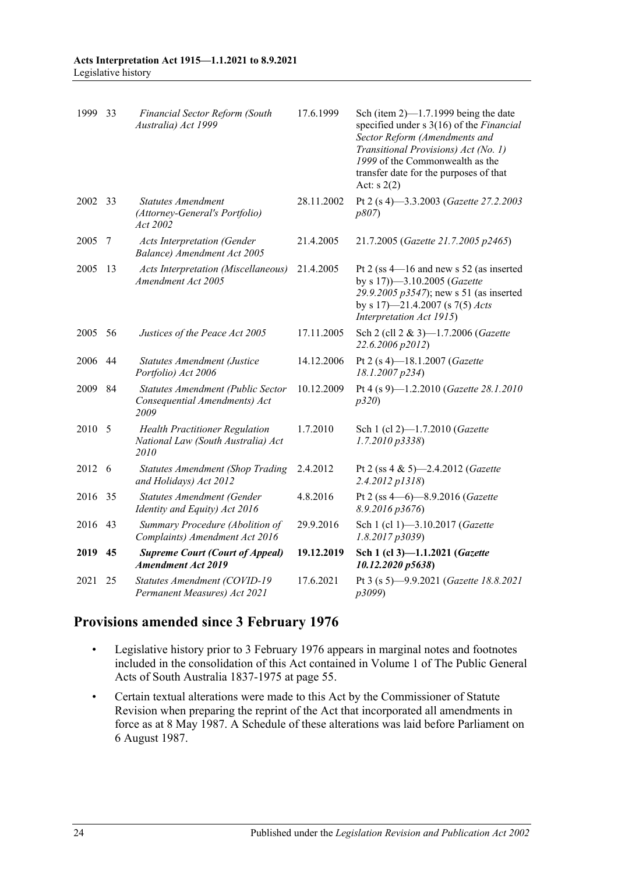| 1999    | 33 | Financial Sector Reform (South<br>Australia) Act 1999                               | 17.6.1999  | Sch (item $2$ )—1.7.1999 being the date<br>specified under s 3(16) of the Financial<br>Sector Reform (Amendments and<br>Transitional Provisions) Act (No. 1)<br>1999 of the Commonwealth as the<br>transfer date for the purposes of that<br>Act: $s(2)$ |
|---------|----|-------------------------------------------------------------------------------------|------------|----------------------------------------------------------------------------------------------------------------------------------------------------------------------------------------------------------------------------------------------------------|
| 2002 33 |    | <b>Statutes Amendment</b><br>(Attorney-General's Portfolio)<br>Act 2002             | 28.11.2002 | Pt 2 (s 4)-3.3.2003 (Gazette 27.2.2003<br>p807                                                                                                                                                                                                           |
| 2005    | 7  | <b>Acts Interpretation (Gender</b><br>Balance) Amendment Act 2005                   | 21.4.2005  | 21.7.2005 (Gazette 21.7.2005 p2465)                                                                                                                                                                                                                      |
| 2005    | 13 | <b>Acts Interpretation (Miscellaneous)</b><br>Amendment Act 2005                    | 21.4.2005  | Pt 2 (ss $4-16$ and new s 52 (as inserted<br>by s 17)-3.10.2005 (Gazette<br>29.9.2005 p3547); new s 51 (as inserted<br>by s 17)—21.4.2007 (s 7(5) <i>Acts</i><br>Interpretation Act 1915)                                                                |
| 2005    | 56 | Justices of the Peace Act 2005                                                      | 17.11.2005 | Sch 2 (cll 2 & 3)-1.7.2006 (Gazette<br>22.6.2006 p2012)                                                                                                                                                                                                  |
| 2006    | 44 | <b>Statutes Amendment (Justice</b><br>Portfolio) Act 2006                           | 14.12.2006 | Pt 2 (s 4)-18.1.2007 (Gazette<br>18.1.2007 p234)                                                                                                                                                                                                         |
| 2009    | 84 | Statutes Amendment (Public Sector<br>Consequential Amendments) Act<br>2009          | 10.12.2009 | Pt 4 (s 9)-1.2.2010 (Gazette 28.1.2010<br>p320                                                                                                                                                                                                           |
| 2010    | 5  | <b>Health Practitioner Regulation</b><br>National Law (South Australia) Act<br>2010 | 1.7.2010   | Sch 1 (cl 2)-1.7.2010 (Gazette<br>$1.7.2010\,\overline{p}3338$                                                                                                                                                                                           |
| 2012    | -6 | <b>Statutes Amendment (Shop Trading</b><br>and Holidays) Act 2012                   | 2.4.2012   | Pt 2 (ss 4 & 5)-2.4.2012 ( <i>Gazette</i><br>2.4.2012 p1318)                                                                                                                                                                                             |
| 2016    | 35 | <b>Statutes Amendment (Gender</b><br>Identity and Equity) Act 2016                  | 4.8.2016   | Pt 2 (ss 4-6)-8.9.2016 (Gazette<br>$8.9.2016$ $p3676$                                                                                                                                                                                                    |
| 2016    | 43 | Summary Procedure (Abolition of<br>Complaints) Amendment Act 2016                   | 29.9.2016  | Sch 1 (cl 1)-3.10.2017 (Gazette<br>1.8.2017p3039                                                                                                                                                                                                         |
| 2019    | 45 | <b>Supreme Court (Court of Appeal)</b><br><b>Amendment Act 2019</b>                 | 19.12.2019 | Sch 1 (cl 3)-1.1.2021 (Gazette<br>10.12.2020 p5638)                                                                                                                                                                                                      |
| 2021    | 25 | Statutes Amendment (COVID-19<br>Permanent Measures) Act 2021                        | 17.6.2021  | Pt 3 (s 5)-9.9.2021 (Gazette 18.8.2021<br>p3099)                                                                                                                                                                                                         |

# **Provisions amended since 3 February 1976**

- Legislative history prior to 3 February 1976 appears in marginal notes and footnotes included in the consolidation of this Act contained in Volume 1 of The Public General Acts of South Australia 1837-1975 at page 55.
- Certain textual alterations were made to this Act by the Commissioner of Statute Revision when preparing the reprint of the Act that incorporated all amendments in force as at 8 May 1987. A Schedule of these alterations was laid before Parliament on 6 August 1987.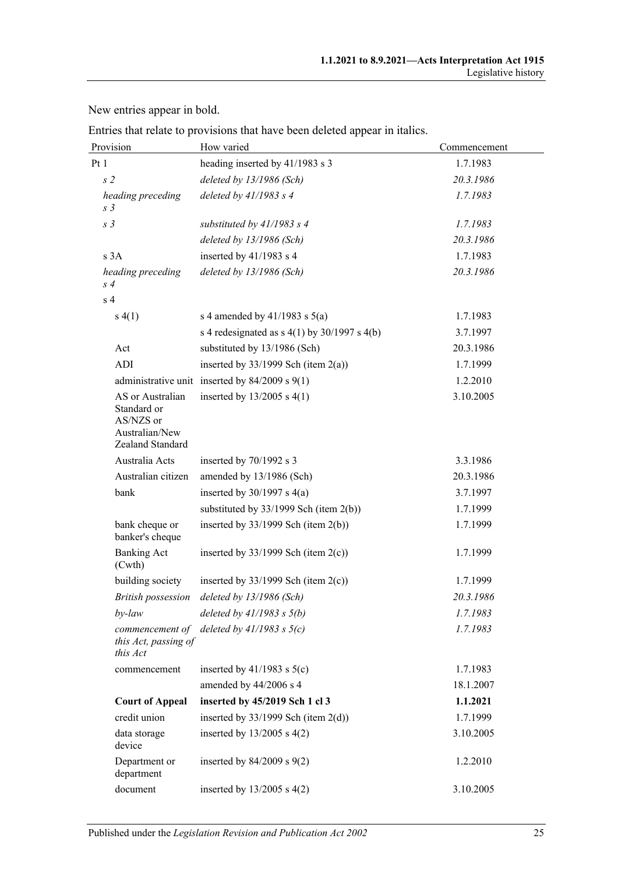New entries appear in bold.

Entries that relate to provisions that have been deleted appear in italics.

| Provision                                                                          | How varied                                         | Commencement |
|------------------------------------------------------------------------------------|----------------------------------------------------|--------------|
| Pt 1                                                                               | heading inserted by 41/1983 s 3                    | 1.7.1983     |
| s <sub>2</sub>                                                                     | deleted by 13/1986 (Sch)                           | 20.3.1986    |
| heading preceding<br>s <sub>3</sub>                                                | deleted by 41/1983 s 4                             | 1.7.1983     |
| s <sub>3</sub>                                                                     | substituted by $41/1983$ s 4                       | 1.7.1983     |
|                                                                                    | deleted by 13/1986 (Sch)                           | 20.3.1986    |
| s 3A                                                                               | inserted by $41/1983$ s 4                          | 1.7.1983     |
| heading preceding<br>s <sub>4</sub>                                                | deleted by 13/1986 (Sch)                           | 20.3.1986    |
| s <sub>4</sub>                                                                     |                                                    |              |
| s(4(1))                                                                            | s 4 amended by $41/1983$ s $5(a)$                  | 1.7.1983     |
|                                                                                    | s 4 redesignated as $s$ 4(1) by 30/1997 s 4(b)     | 3.7.1997     |
| Act                                                                                | substituted by 13/1986 (Sch)                       | 20.3.1986    |
| ADI                                                                                | inserted by $33/1999$ Sch (item 2(a))              | 1.7.1999     |
|                                                                                    | administrative unit inserted by $84/2009$ s $9(1)$ | 1.2.2010     |
| AS or Australian<br>Standard or<br>AS/NZS or<br>Australian/New<br>Zealand Standard | inserted by $13/2005$ s 4(1)                       | 3.10.2005    |
| Australia Acts                                                                     | inserted by 70/1992 s 3                            | 3.3.1986     |
| Australian citizen                                                                 | amended by 13/1986 (Sch)                           | 20.3.1986    |
| bank                                                                               | inserted by $30/1997$ s $4(a)$                     | 3.7.1997     |
|                                                                                    | substituted by $33/1999$ Sch (item 2(b))           | 1.7.1999     |
| bank cheque or<br>banker's cheque                                                  | inserted by $33/1999$ Sch (item 2(b))              | 1.7.1999     |
| <b>Banking Act</b><br>(Cwth)                                                       | inserted by $33/1999$ Sch (item 2(c))              | 1.7.1999     |
| building society                                                                   | inserted by $33/1999$ Sch (item 2(c))              | 1.7.1999     |
| <b>British possession</b>                                                          | deleted by 13/1986 (Sch)                           | 20.3.1986    |
| by-law                                                                             | deleted by $41/1983$ s $5(b)$                      | 1.7.1983     |
| this Act, passing of<br>this Act                                                   | commencement of deleted by $41/1983$ s $5(c)$      | 1.7.1983     |
| commencement                                                                       | inserted by $41/1983$ s $5(c)$                     | 1.7.1983     |
|                                                                                    | amended by 44/2006 s 4                             | 18.1.2007    |
| <b>Court of Appeal</b>                                                             | inserted by 45/2019 Sch 1 cl 3                     | 1.1.2021     |
| credit union                                                                       | inserted by $33/1999$ Sch (item $2(d)$ )           | 1.7.1999     |
| data storage<br>device                                                             | inserted by $13/2005$ s $4(2)$                     | 3.10.2005    |
| Department or<br>department                                                        | inserted by $84/2009$ s $9(2)$                     | 1.2.2010     |
| document                                                                           | inserted by $13/2005$ s $4(2)$                     | 3.10.2005    |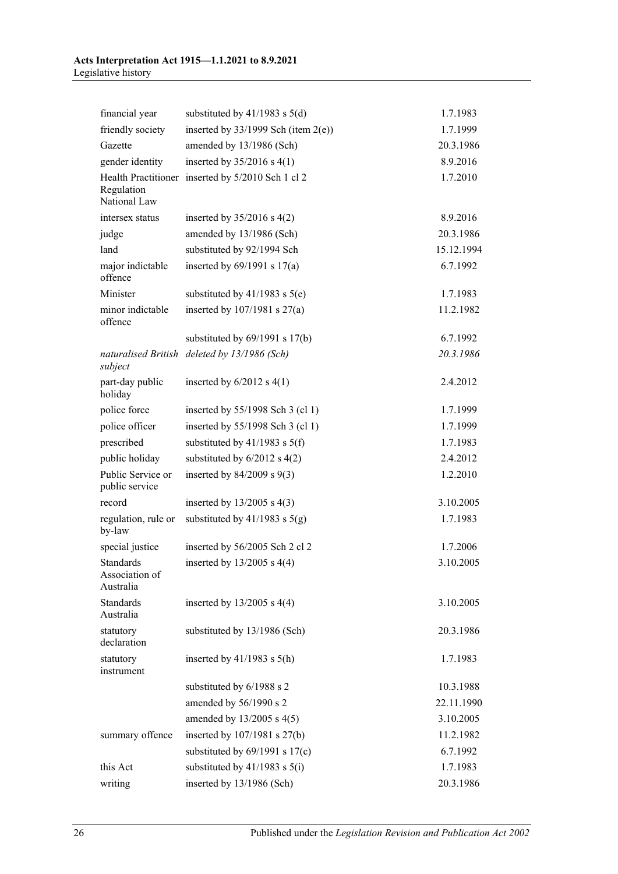| financial year                           | substituted by $41/1983$ s $5(d)$                 | 1.7.1983   |
|------------------------------------------|---------------------------------------------------|------------|
| friendly society                         | inserted by $33/1999$ Sch (item 2(e))             | 1.7.1999   |
| Gazette                                  | amended by 13/1986 (Sch)                          | 20.3.1986  |
| gender identity                          | inserted by $35/2016$ s 4(1)                      | 8.9.2016   |
| Regulation<br>National Law               | Health Practitioner inserted by 5/2010 Sch 1 cl 2 | 1.7.2010   |
| intersex status                          | inserted by $35/2016$ s $4(2)$                    | 8.9.2016   |
| judge                                    | amended by 13/1986 (Sch)                          | 20.3.1986  |
| land                                     | substituted by 92/1994 Sch                        | 15.12.1994 |
| major indictable<br>offence              | inserted by $69/1991$ s $17(a)$                   | 6.7.1992   |
| Minister                                 | substituted by $41/1983$ s $5(e)$                 | 1.7.1983   |
| minor indictable<br>offence              | inserted by $107/1981$ s $27(a)$                  | 11.2.1982  |
|                                          | substituted by $69/1991$ s $17(b)$                | 6.7.1992   |
| subject                                  | naturalised British deleted by 13/1986 (Sch)      | 20.3.1986  |
| part-day public<br>holiday               | inserted by $6/2012$ s $4(1)$                     | 2.4.2012   |
| police force                             | inserted by 55/1998 Sch 3 (cl 1)                  | 1.7.1999   |
| police officer                           | inserted by 55/1998 Sch 3 (cl 1)                  | 1.7.1999   |
| prescribed                               | substituted by $41/1983$ s $5(f)$                 | 1.7.1983   |
| public holiday                           | substituted by $6/2012$ s $4(2)$                  | 2.4.2012   |
| Public Service or<br>public service      | inserted by $84/2009$ s $9(3)$                    | 1.2.2010   |
| record                                   | inserted by $13/2005$ s 4(3)                      | 3.10.2005  |
| regulation, rule or<br>by-law            | substituted by $41/1983$ s $5(g)$                 | 1.7.1983   |
| special justice                          | inserted by 56/2005 Sch 2 cl 2                    | 1.7.2006   |
| Standards<br>Association of<br>Australia | inserted by $13/2005$ s 4(4)                      | 3.10.2005  |
| Standards<br>Australia                   | inserted by $13/2005$ s $4(4)$                    | 3.10.2005  |
| statutory<br>declaration                 | substituted by 13/1986 (Sch)                      | 20.3.1986  |
| statutory<br>instrument                  | inserted by $41/1983$ s $5(h)$                    | 1.7.1983   |
|                                          | substituted by 6/1988 s 2                         | 10.3.1988  |
|                                          | amended by 56/1990 s 2                            | 22.11.1990 |
|                                          | amended by $13/2005$ s 4(5)                       | 3.10.2005  |
| summary offence                          | inserted by 107/1981 s 27(b)                      | 11.2.1982  |
|                                          | substituted by $69/1991$ s $17(c)$                | 6.7.1992   |
| this Act                                 | substituted by $41/1983$ s $5(i)$                 | 1.7.1983   |
| writing                                  | inserted by 13/1986 (Sch)                         | 20.3.1986  |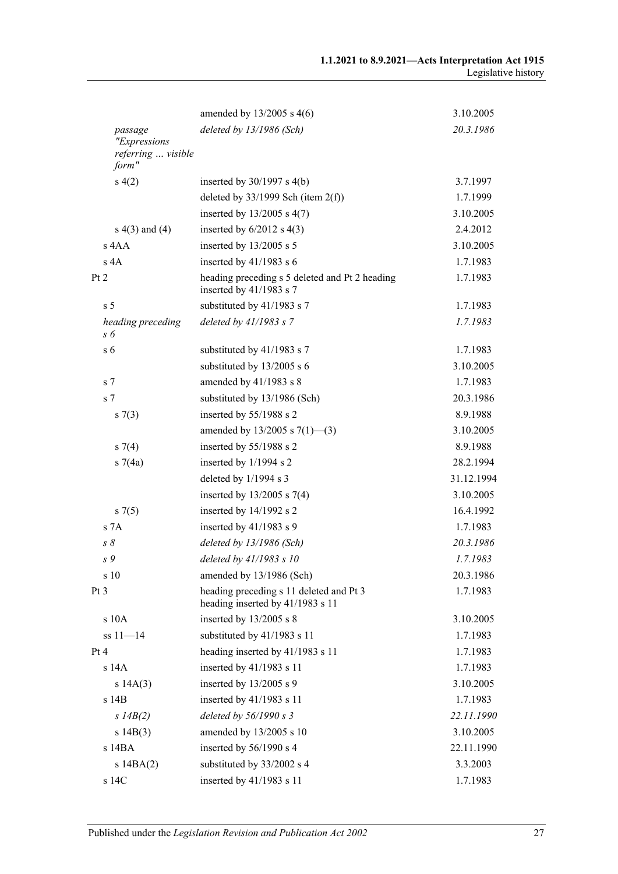|                             | amended by $13/2005$ s 4(6)                                                 | 3.10.2005  |
|-----------------------------|-----------------------------------------------------------------------------|------------|
| passage<br>"Expressions     | deleted by 13/1986 (Sch)                                                    | 20.3.1986  |
| referring  visible<br>form" |                                                                             |            |
| s(4(2)                      | inserted by $30/1997$ s $4(b)$                                              | 3.7.1997   |
|                             | deleted by $33/1999$ Sch (item $2(f)$ )                                     | 1.7.1999   |
|                             | inserted by $13/2005$ s 4(7)                                                | 3.10.2005  |
| $s(4)$ and $(4)$            | inserted by $6/2012$ s $4(3)$                                               | 2.4.2012   |
| s 4AA                       | inserted by 13/2005 s 5                                                     | 3.10.2005  |
| s 4A                        | inserted by $41/1983$ s 6                                                   | 1.7.1983   |
| Pt 2                        | heading preceding s 5 deleted and Pt 2 heading<br>inserted by 41/1983 s 7   | 1.7.1983   |
| s <sub>5</sub>              | substituted by 41/1983 s 7                                                  | 1.7.1983   |
| heading preceding<br>s 6    | deleted by 41/1983 s 7                                                      | 1.7.1983   |
| s <sub>6</sub>              | substituted by 41/1983 s 7                                                  | 1.7.1983   |
|                             | substituted by 13/2005 s 6                                                  | 3.10.2005  |
| s <sub>7</sub>              | amended by 41/1983 s 8                                                      | 1.7.1983   |
| s <sub>7</sub>              | substituted by 13/1986 (Sch)                                                | 20.3.1986  |
| s(7(3))                     | inserted by 55/1988 s 2                                                     | 8.9.1988   |
|                             | amended by $13/2005$ s $7(1)$ —(3)                                          | 3.10.2005  |
| $s \, 7(4)$                 | inserted by 55/1988 s 2                                                     | 8.9.1988   |
| $s \, 7(4a)$                | inserted by 1/1994 s 2                                                      | 28.2.1994  |
|                             | deleted by 1/1994 s 3                                                       | 31.12.1994 |
|                             | inserted by 13/2005 s 7(4)                                                  | 3.10.2005  |
| $s \, 7(5)$                 | inserted by 14/1992 s 2                                                     | 16.4.1992  |
| S <sub>7A</sub>             | inserted by $41/1983$ s 9                                                   | 1.7.1983   |
| $s \, \delta$               | deleted by 13/1986 (Sch)                                                    | 20.3.1986  |
| s 9                         | deleted by 41/1983 s 10                                                     | 1.7.1983   |
| s 10                        | amended by 13/1986 (Sch)                                                    | 20.3.1986  |
| Pt 3                        | heading preceding s 11 deleted and Pt 3<br>heading inserted by 41/1983 s 11 | 1.7.1983   |
| s 10A                       | inserted by 13/2005 s 8                                                     | 3.10.2005  |
| $ss 11 - 14$                | substituted by 41/1983 s 11                                                 | 1.7.1983   |
| Pt 4                        | heading inserted by 41/1983 s 11                                            | 1.7.1983   |
| $s$ 14 $A$                  | inserted by $41/1983$ s 11                                                  | 1.7.1983   |
| s 14A(3)                    | inserted by $13/2005$ s 9                                                   | 3.10.2005  |
| s 14B                       | inserted by $41/1983$ s 11                                                  | 1.7.1983   |
| $s$ 14B(2)                  | deleted by $56/1990 s$ 3                                                    | 22.11.1990 |
| s 14B(3)                    | amended by 13/2005 s 10                                                     | 3.10.2005  |
| s 14BA                      | inserted by 56/1990 s 4                                                     | 22.11.1990 |
| s14BA(2)                    | substituted by 33/2002 s 4                                                  | 3.3.2003   |
| s 14C                       | inserted by 41/1983 s 11                                                    | 1.7.1983   |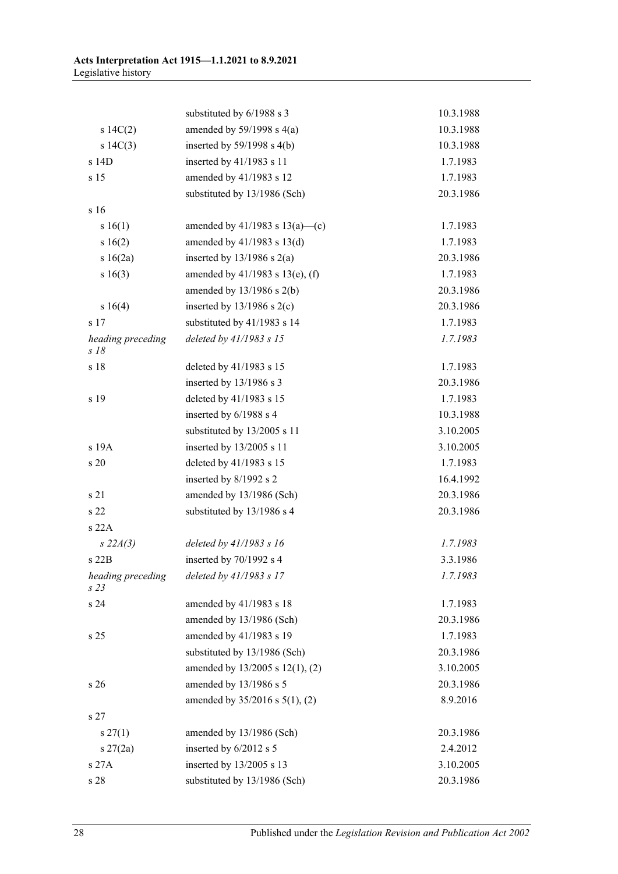|                                      | substituted by 6/1988 s 3            | 10.3.1988 |
|--------------------------------------|--------------------------------------|-----------|
| 14C(2)                               | amended by $59/1998$ s $4(a)$        | 10.3.1988 |
| s 14C(3)                             | inserted by $59/1998$ s $4(b)$       | 10.3.1988 |
| s 14D                                | inserted by 41/1983 s 11             | 1.7.1983  |
| s 15                                 | amended by 41/1983 s 12              | 1.7.1983  |
|                                      | substituted by 13/1986 (Sch)         | 20.3.1986 |
| s 16                                 |                                      |           |
| s 16(1)                              | amended by 41/1983 s 13(a)—(c)       | 1.7.1983  |
| s 16(2)                              | amended by 41/1983 s 13(d)           | 1.7.1983  |
| s 16(2a)                             | inserted by $13/1986$ s $2(a)$       | 20.3.1986 |
| s 16(3)                              | amended by $41/1983$ s $13(e)$ , (f) | 1.7.1983  |
|                                      | amended by $13/1986$ s $2(b)$        | 20.3.1986 |
| s 16(4)                              | inserted by $13/1986$ s $2(c)$       | 20.3.1986 |
| s 17                                 | substituted by 41/1983 s 14          | 1.7.1983  |
| heading preceding<br>$s$ 18          | deleted by 41/1983 s 15              | 1.7.1983  |
| s 18                                 | deleted by 41/1983 s 15              | 1.7.1983  |
|                                      | inserted by 13/1986 s 3              | 20.3.1986 |
| s 19                                 | deleted by 41/1983 s 15              | 1.7.1983  |
|                                      | inserted by 6/1988 s 4               | 10.3.1988 |
|                                      | substituted by 13/2005 s 11          | 3.10.2005 |
| s 19A                                | inserted by 13/2005 s 11             | 3.10.2005 |
| s 20                                 | deleted by 41/1983 s 15              | 1.7.1983  |
|                                      | inserted by 8/1992 s 2               | 16.4.1992 |
| s 21                                 | amended by 13/1986 (Sch)             | 20.3.1986 |
| s 22                                 | substituted by 13/1986 s 4           | 20.3.1986 |
| s 22A                                |                                      |           |
| $s\,22A(3)$                          | deleted by $41/1983$ s 16            | 1.7.1983  |
| s 22B                                | inserted by 70/1992 s 4              | 3.3.1986  |
| heading preceding<br>s <sub>23</sub> | deleted by 41/1983 s 17              | 1.7.1983  |
| s 24                                 | amended by 41/1983 s 18              | 1.7.1983  |
|                                      | amended by 13/1986 (Sch)             | 20.3.1986 |
| s 25                                 | amended by 41/1983 s 19              | 1.7.1983  |
|                                      | substituted by 13/1986 (Sch)         | 20.3.1986 |
|                                      | amended by 13/2005 s 12(1), (2)      | 3.10.2005 |
| s 26                                 | amended by 13/1986 s 5               | 20.3.1986 |
|                                      | amended by 35/2016 s 5(1), (2)       | 8.9.2016  |
| s <sub>27</sub>                      |                                      |           |
| $s \, 27(1)$                         | amended by 13/1986 (Sch)             | 20.3.1986 |
| $s \, 27(2a)$                        | inserted by 6/2012 s 5               | 2.4.2012  |
| s 27A                                | inserted by 13/2005 s 13             | 3.10.2005 |
| s 28                                 | substituted by 13/1986 (Sch)         | 20.3.1986 |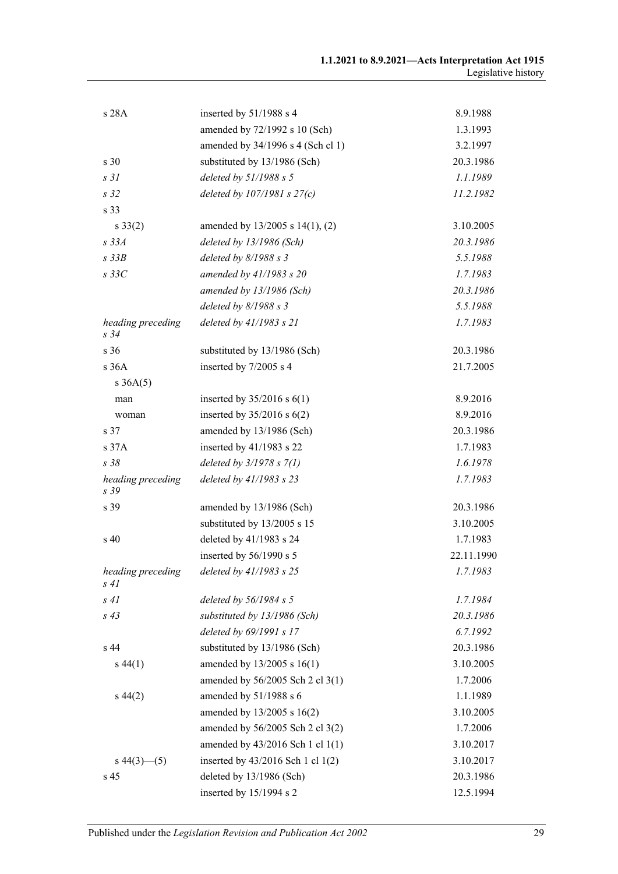| s 28A                     | inserted by 51/1988 s 4               | 8.9.1988   |
|---------------------------|---------------------------------------|------------|
|                           | amended by 72/1992 s 10 (Sch)         | 1.3.1993   |
|                           | amended by 34/1996 s 4 (Sch cl 1)     | 3.2.1997   |
| s 30                      | substituted by 13/1986 (Sch)          | 20.3.1986  |
| s <sub>31</sub>           | deleted by $51/1988 s 5$              | 1.1.1989   |
| s <sub>32</sub>           | deleted by $107/1981 s 27(c)$         | 11.2.1982  |
| s 33                      |                                       |            |
| $s \, 33(2)$              | amended by 13/2005 s 14(1), (2)       | 3.10.2005  |
| $s$ 33 $A$                | deleted by 13/1986 (Sch)              | 20.3.1986  |
| $s$ 33 $B$                | deleted by $8/1988 s$ 3               | 5.5.1988   |
| $s$ 33 $C$                | amended by 41/1983 s 20               | 1.7.1983   |
|                           | amended by 13/1986 (Sch)              | 20.3.1986  |
|                           | deleted by $8/1988 s$ 3               | 5.5.1988   |
| heading preceding<br>s 34 | deleted by 41/1983 s 21               | 1.7.1983   |
| s 36                      | substituted by 13/1986 (Sch)          | 20.3.1986  |
| s36A                      | inserted by 7/2005 s 4                | 21.7.2005  |
| $s \, 36A(5)$             |                                       |            |
| man                       | inserted by $35/2016$ s $6(1)$        | 8.9.2016   |
| woman                     | inserted by $35/2016$ s $6(2)$        | 8.9.2016   |
| s 37                      | amended by 13/1986 (Sch)              | 20.3.1986  |
| s 37A                     | inserted by 41/1983 s 22              | 1.7.1983   |
| s38                       | deleted by $3/1978 s 7(1)$            | 1.6.1978   |
| heading preceding<br>s 39 | deleted by 41/1983 s 23               | 1.7.1983   |
| s 39                      | amended by 13/1986 (Sch)              | 20.3.1986  |
|                           | substituted by 13/2005 s 15           | 3.10.2005  |
| s 40                      | deleted by 41/1983 s 24               | 1.7.1983   |
|                           | inserted by 56/1990 s 5               | 22.11.1990 |
| heading preceding<br>s 41 | deleted by 41/1983 s 25               | 1.7.1983   |
| s41                       | deleted by $56/1984 s 5$              | 1.7.1984   |
| $s\,43$                   | substituted by 13/1986 (Sch)          | 20.3.1986  |
|                           | deleted by 69/1991 s 17               | 6.7.1992   |
| s <sub>44</sub>           | substituted by 13/1986 (Sch)          | 20.3.1986  |
| $s\,44(1)$                | amended by 13/2005 s 16(1)            | 3.10.2005  |
|                           | amended by 56/2005 Sch 2 cl 3(1)      | 1.7.2006   |
| $s\,44(2)$                | amended by 51/1988 s 6                | 1.1.1989   |
|                           | amended by 13/2005 s 16(2)            | 3.10.2005  |
|                           | amended by 56/2005 Sch 2 cl 3(2)      | 1.7.2006   |
|                           | amended by 43/2016 Sch 1 cl 1(1)      | 3.10.2017  |
| $s\,44(3)$ (5)            | inserted by $43/2016$ Sch 1 cl $1(2)$ | 3.10.2017  |
| s 45                      | deleted by 13/1986 (Sch)              | 20.3.1986  |
|                           | inserted by 15/1994 s 2               | 12.5.1994  |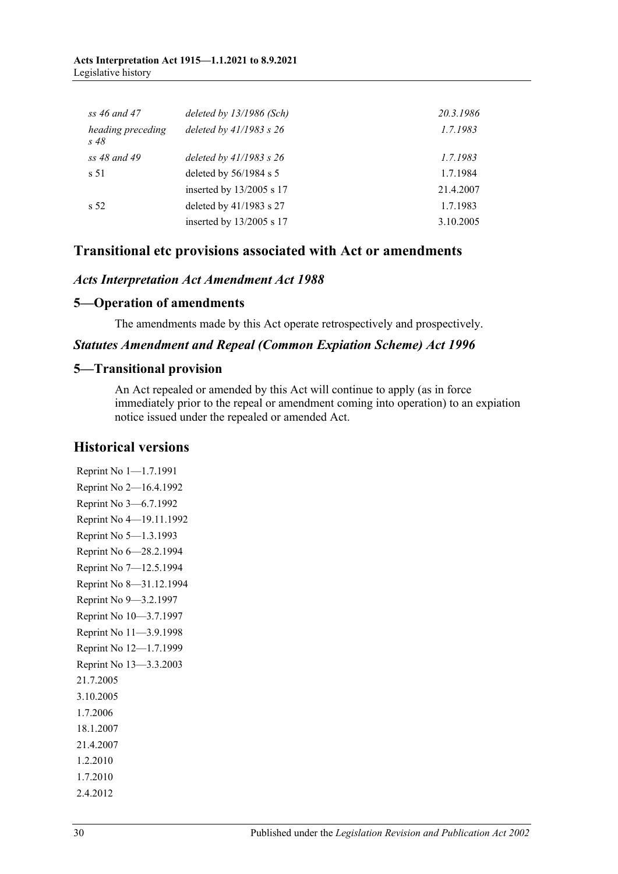#### **Acts Interpretation Act 1915—1.1.2021 to 8.9.2021** Legislative history

| $ss 46$ and $47$             | deleted by $13/1986$ (Sch)  | 20.3.1986 |
|------------------------------|-----------------------------|-----------|
| heading preceding<br>$s\,48$ | deleted by $41/1983$ s $26$ | 1.7.1983  |
| ss 48 and 49                 | deleted by $41/1983$ s $26$ | 1.7.1983  |
| s 51                         | deleted by 56/1984 s 5      | 1.7.1984  |
|                              | inserted by 13/2005 s 17    | 21.4.2007 |
| s <sub>52</sub>              | deleted by 41/1983 s 27     | 1.7.1983  |
|                              | inserted by 13/2005 s 17    | 3.10.2005 |

# **Transitional etc provisions associated with Act or amendments**

#### *Acts Interpretation Act Amendment Act 1988*

#### **5—Operation of amendments**

The amendments made by this Act operate retrospectively and prospectively.

#### *Statutes Amendment and Repeal (Common Expiation Scheme) Act 1996*

#### **5—Transitional provision**

An Act repealed or amended by this Act will continue to apply (as in force immediately prior to the repeal or amendment coming into operation) to an expiation notice issued under the repealed or amended Act.

#### **Historical versions**

Reprint No 1—1.7.1991 Reprint No 2—16.4.1992 Reprint No 3—6.7.1992 Reprint No 4—19.11.1992 Reprint No 5—1.3.1993 Reprint No 6—28.2.1994 Reprint No 7—12.5.1994 Reprint No 8—31.12.1994 Reprint No 9—3.2.1997 Reprint No 10—3.7.1997 Reprint No 11—3.9.1998 Reprint No 12—1.7.1999 Reprint No 13—3.3.2003 21.7.2005 3.10.2005 1.7.2006 18.1.2007 21.4.2007 1.2.2010 1.7.2010 2.4.2012